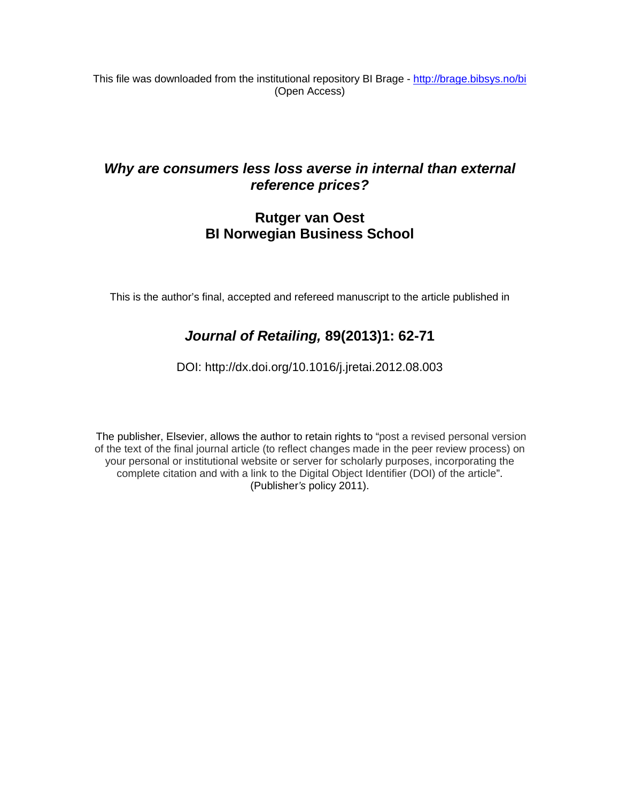This file was downloaded from the institutional repository BI Brage - <http://brage.bibsys.no/bi> (Open Access)

## *Why are consumers less loss averse in internal than external reference prices?*

### **Rutger van Oest BI Norwegian Business School**

This is the author's final, accepted and refereed manuscript to the article published in

## *Journal of Retailing,* **89(2013)1: 62-71**

DOI: http://dx.doi.org[/10.1016/j.jretai.2012.08.003](http://dx.doi.org.ezproxy.library.bi.no/10.1016/j.jretai.2012.08.003)

The publisher, Elsevier, allows the author to retain rights to "post a revised personal version of the text of the final journal article (to reflect changes made in the peer review process) on your personal or institutional website or server for scholarly purposes, incorporating the complete citation and with a link to the Digital Object Identifier (DOI) of the article". (Publisher*'s* policy 2011).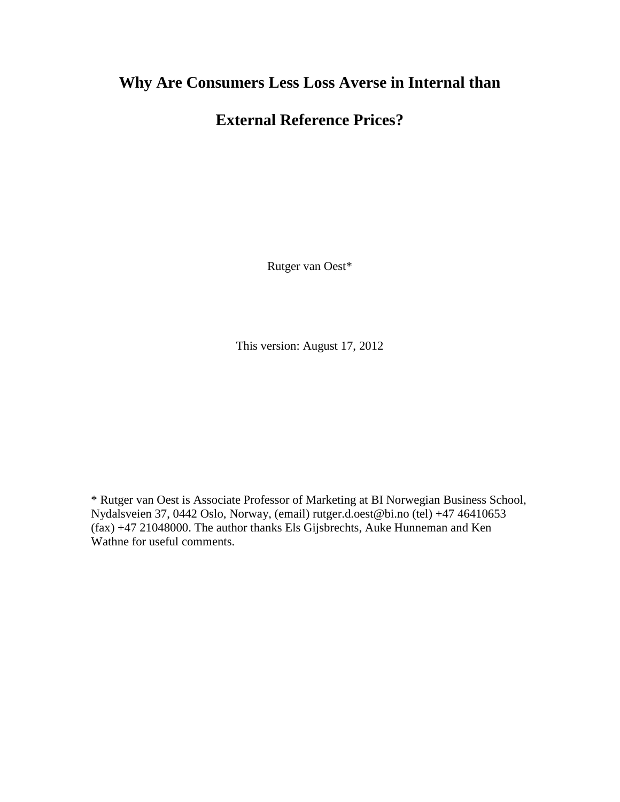# **Why Are Consumers Less Loss Averse in Internal than**

# **External Reference Prices?**

Rutger van Oest\*

This version: August 17, 2012

\* Rutger van Oest is Associate Professor of Marketing at BI Norwegian Business School, Nydalsveien 37, 0442 Oslo, Norway, (email) rutger.d.oest@bi.no (tel) +47 46410653 (fax) +47 21048000. The author thanks Els Gijsbrechts, Auke Hunneman and Ken Wathne for useful comments.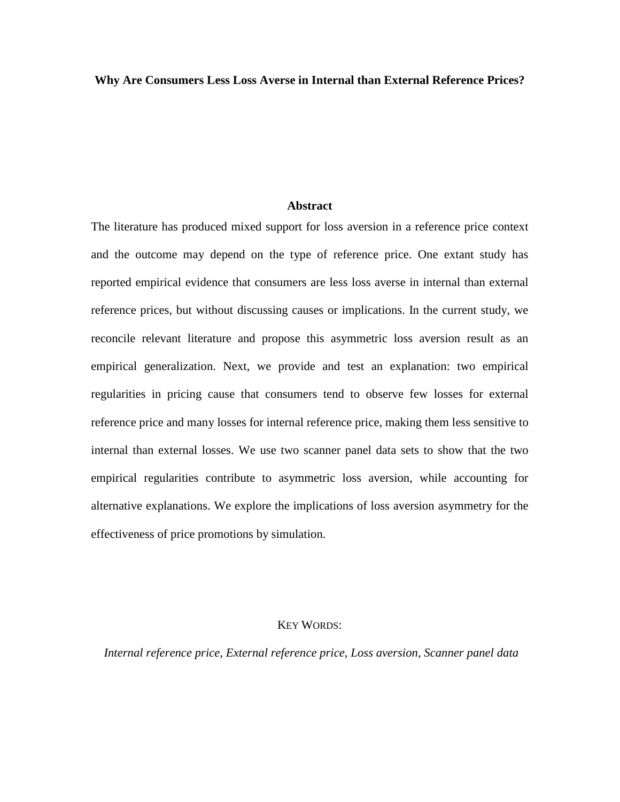**Why Are Consumers Less Loss Averse in Internal than External Reference Prices?**

#### **Abstract**

The literature has produced mixed support for loss aversion in a reference price context and the outcome may depend on the type of reference price. One extant study has reported empirical evidence that consumers are less loss averse in internal than external reference prices, but without discussing causes or implications. In the current study, we reconcile relevant literature and propose this asymmetric loss aversion result as an empirical generalization. Next, we provide and test an explanation: two empirical regularities in pricing cause that consumers tend to observe few losses for external reference price and many losses for internal reference price, making them less sensitive to internal than external losses. We use two scanner panel data sets to show that the two empirical regularities contribute to asymmetric loss aversion, while accounting for alternative explanations. We explore the implications of loss aversion asymmetry for the effectiveness of price promotions by simulation.

#### KEY WORDS:

*Internal reference price, External reference price, Loss aversion, Scanner panel data*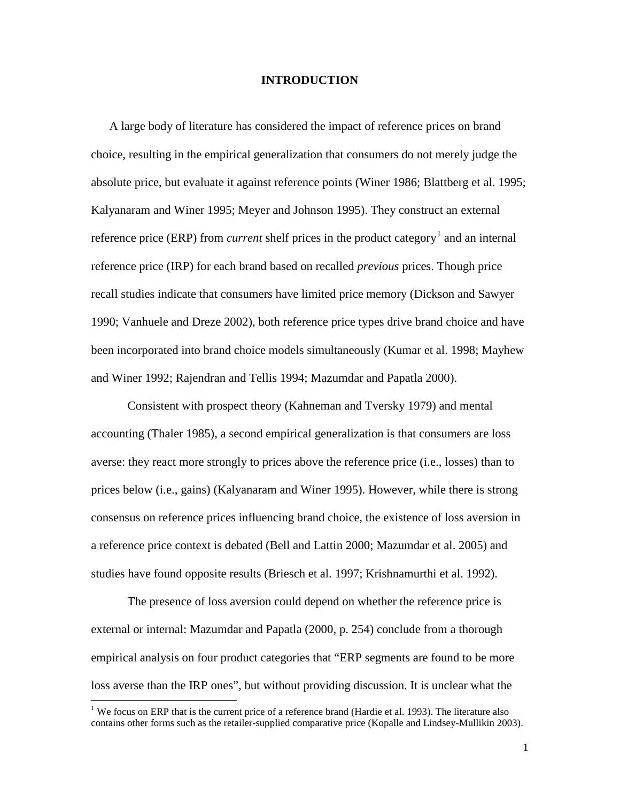#### **INTRODUCTION**

A large body of literature has considered the impact of reference prices on brand choice, resulting in the empirical generalization that consumers do not merely judge the absolute price, but evaluate it against reference points (Winer 1986; Blattberg et al. 1995; Kalyanaram and Winer 1995; Meyer and Johnson 1995). They construct an external reference price (ERP) from *current* shelf prices in the product category<sup>[1](#page-3-0)</sup> and an internal reference price (IRP) for each brand based on recalled *previous* prices. Though price recall studies indicate that consumers have limited price memory (Dickson and Sawyer 1990; Vanhuele and Dreze 2002), both reference price types drive brand choice and have been incorporated into brand choice models simultaneously (Kumar et al. 1998; Mayhew and Winer 1992; Rajendran and Tellis 1994; Mazumdar and Papatla 2000).

Consistent with prospect theory (Kahneman and Tversky 1979) and mental accounting (Thaler 1985), a second empirical generalization is that consumers are loss averse: they react more strongly to prices above the reference price (i.e., losses) than to prices below (i.e., gains) (Kalyanaram and Winer 1995). However, while there is strong consensus on reference prices influencing brand choice, the existence of loss aversion in a reference price context is debated (Bell and Lattin 2000; Mazumdar et al. 2005) and studies have found opposite results (Briesch et al. 1997; Krishnamurthi et al. 1992).

The presence of loss aversion could depend on whether the reference price is external or internal: Mazumdar and Papatla (2000, p. 254) conclude from a thorough empirical analysis on four product categories that "ERP segments are found to be more loss averse than the IRP ones", but without providing discussion. It is unclear what the

<span id="page-3-0"></span><sup>&</sup>lt;sup>1</sup> We focus on ERP that is the current price of a reference brand (Hardie et al. 1993). The literature also contains other forms such as the retailer-supplied comparative price (Kopalle and Lindsey-Mullikin 2003).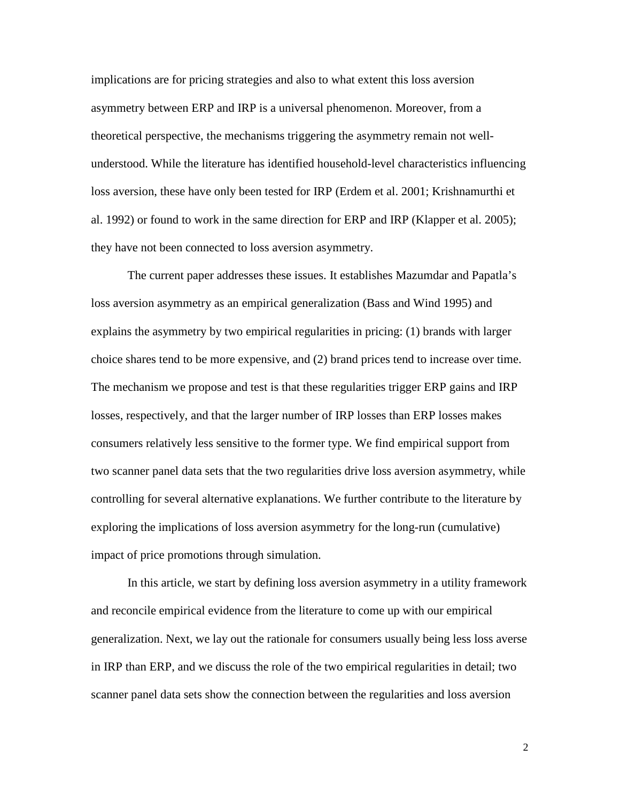implications are for pricing strategies and also to what extent this loss aversion asymmetry between ERP and IRP is a universal phenomenon. Moreover, from a theoretical perspective, the mechanisms triggering the asymmetry remain not wellunderstood. While the literature has identified household-level characteristics influencing loss aversion, these have only been tested for IRP (Erdem et al. 2001; Krishnamurthi et al. 1992) or found to work in the same direction for ERP and IRP (Klapper et al. 2005); they have not been connected to loss aversion asymmetry.

The current paper addresses these issues. It establishes Mazumdar and Papatla's loss aversion asymmetry as an empirical generalization (Bass and Wind 1995) and explains the asymmetry by two empirical regularities in pricing: (1) brands with larger choice shares tend to be more expensive, and (2) brand prices tend to increase over time. The mechanism we propose and test is that these regularities trigger ERP gains and IRP losses, respectively, and that the larger number of IRP losses than ERP losses makes consumers relatively less sensitive to the former type. We find empirical support from two scanner panel data sets that the two regularities drive loss aversion asymmetry, while controlling for several alternative explanations. We further contribute to the literature by exploring the implications of loss aversion asymmetry for the long-run (cumulative) impact of price promotions through simulation.

In this article, we start by defining loss aversion asymmetry in a utility framework and reconcile empirical evidence from the literature to come up with our empirical generalization. Next, we lay out the rationale for consumers usually being less loss averse in IRP than ERP, and we discuss the role of the two empirical regularities in detail; two scanner panel data sets show the connection between the regularities and loss aversion

2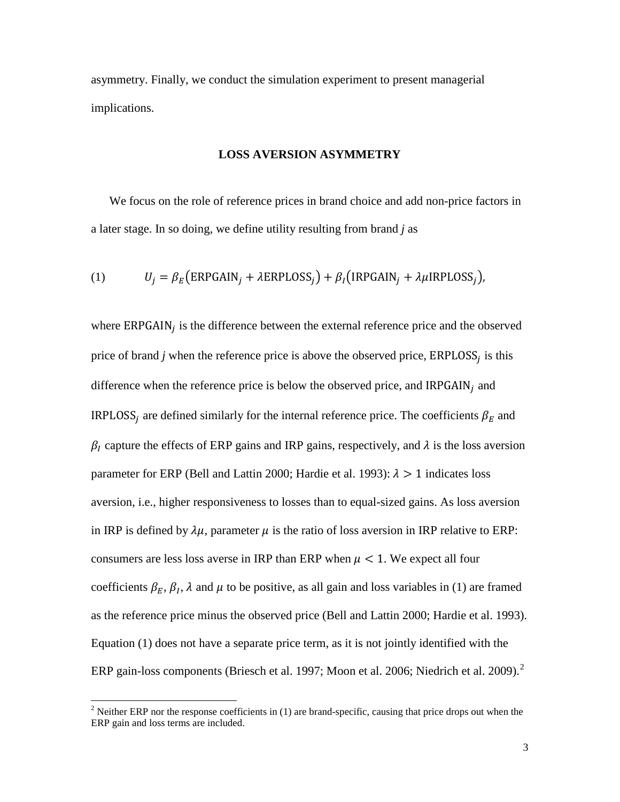asymmetry. Finally, we conduct the simulation experiment to present managerial implications.

#### **LOSS AVERSION ASYMMETRY**

We focus on the role of reference prices in brand choice and add non-price factors in a later stage. In so doing, we define utility resulting from brand *j* as

(1) 
$$
U_j = \beta_E \big( \text{ERPGAIN}_j + \lambda \text{ERPLOSS}_j \big) + \beta_I \big( \text{IRPGAIN}_j + \lambda \mu \text{IRPLOSS}_j \big),
$$

where  $ERPGAIN<sub>i</sub>$  is the difference between the external reference price and the observed price of brand *j* when the reference price is above the observed price,  $ERPLOSS<sub>i</sub>$  is this difference when the reference price is below the observed price, and  $IRPGAIN<sub>i</sub>$  and IRPLOSS<sub>i</sub> are defined similarly for the internal reference price. The coefficients  $\beta_E$  and  $\beta_l$  capture the effects of ERP gains and IRP gains, respectively, and  $\lambda$  is the loss aversion parameter for ERP (Bell and Lattin 2000; Hardie et al. 1993):  $\lambda > 1$  indicates loss aversion, i.e., higher responsiveness to losses than to equal-sized gains. As loss aversion in IRP is defined by  $\lambda \mu$ , parameter  $\mu$  is the ratio of loss aversion in IRP relative to ERP: consumers are less loss averse in IRP than ERP when  $\mu < 1$ . We expect all four coefficients  $\beta_E$ ,  $\beta_I$ ,  $\lambda$  and  $\mu$  to be positive, as all gain and loss variables in (1) are framed as the reference price minus the observed price (Bell and Lattin 2000; Hardie et al. 1993). Equation (1) does not have a separate price term, as it is not jointly identified with the ERP gain-loss components (Briesch et al. 1997; Moon et al. [2](#page-5-0)006; Niedrich et al. 2009). $^2$ 

<span id="page-5-0"></span><sup>&</sup>lt;sup>2</sup> Neither ERP nor the response coefficients in (1) are brand-specific, causing that price drops out when the ERP gain and loss terms are included.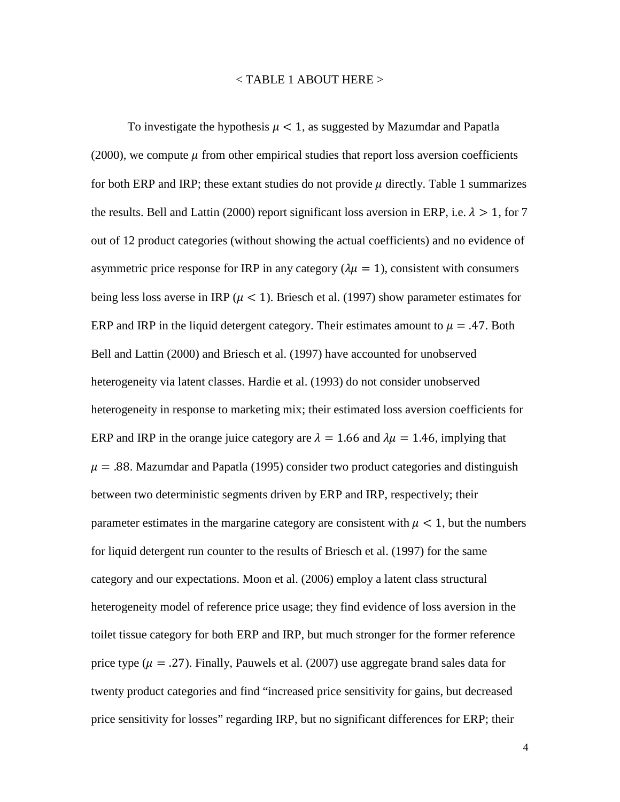#### $<$  TABLE 1 ABOUT HERE  $>$

To investigate the hypothesis  $\mu < 1$ , as suggested by Mazumdar and Papatla (2000), we compute  $\mu$  from other empirical studies that report loss aversion coefficients for both ERP and IRP; these extant studies do not provide  $\mu$  directly. Table 1 summarizes the results. Bell and Lattin (2000) report significant loss aversion in ERP, i.e.  $\lambda > 1$ , for 7 out of 12 product categories (without showing the actual coefficients) and no evidence of asymmetric price response for IRP in any category ( $\lambda \mu = 1$ ), consistent with consumers being less loss averse in IRP ( $\mu$  < 1). Briesch et al. (1997) show parameter estimates for ERP and IRP in the liquid detergent category. Their estimates amount to  $\mu = .47$ . Both Bell and Lattin (2000) and Briesch et al. (1997) have accounted for unobserved heterogeneity via latent classes. Hardie et al. (1993) do not consider unobserved heterogeneity in response to marketing mix; their estimated loss aversion coefficients for ERP and IRP in the orange juice category are  $\lambda = 1.66$  and  $\lambda \mu = 1.46$ , implying that  $\mu = .88$ . Mazumdar and Papatla (1995) consider two product categories and distinguish between two deterministic segments driven by ERP and IRP, respectively; their parameter estimates in the margarine category are consistent with  $\mu < 1$ , but the numbers for liquid detergent run counter to the results of Briesch et al. (1997) for the same category and our expectations. Moon et al. (2006) employ a latent class structural heterogeneity model of reference price usage; they find evidence of loss aversion in the toilet tissue category for both ERP and IRP, but much stronger for the former reference price type ( $\mu = .27$ ). Finally, Pauwels et al. (2007) use aggregate brand sales data for twenty product categories and find "increased price sensitivity for gains, but decreased price sensitivity for losses" regarding IRP, but no significant differences for ERP; their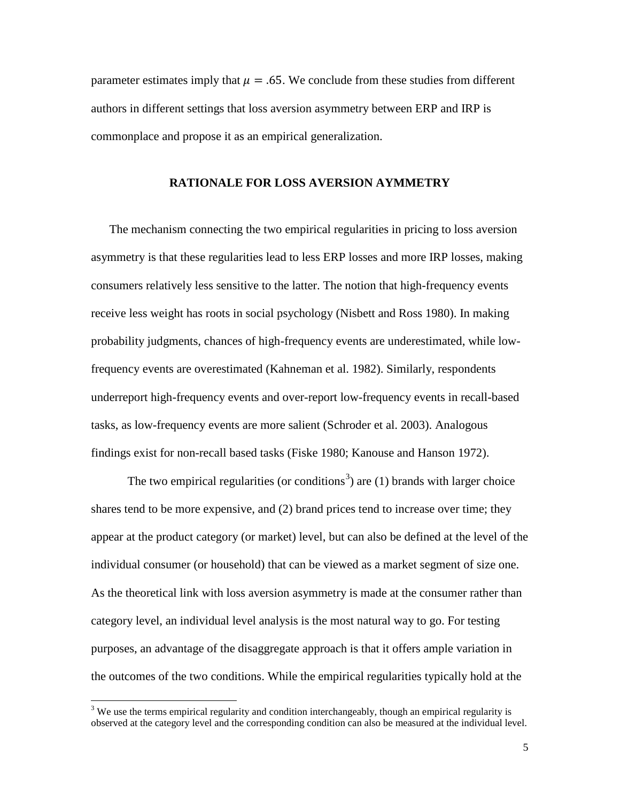parameter estimates imply that  $\mu = .65$ . We conclude from these studies from different authors in different settings that loss aversion asymmetry between ERP and IRP is commonplace and propose it as an empirical generalization.

#### **RATIONALE FOR LOSS AVERSION AYMMETRY**

The mechanism connecting the two empirical regularities in pricing to loss aversion asymmetry is that these regularities lead to less ERP losses and more IRP losses, making consumers relatively less sensitive to the latter. The notion that high-frequency events receive less weight has roots in social psychology (Nisbett and Ross 1980). In making probability judgments, chances of high-frequency events are underestimated, while lowfrequency events are overestimated (Kahneman et al. 1982). Similarly, respondents underreport high-frequency events and over-report low-frequency events in recall-based tasks, as low-frequency events are more salient (Schroder et al. 2003). Analogous findings exist for non-recall based tasks (Fiske 1980; Kanouse and Hanson 1972).

The two empirical regularities (or conditions<sup>[3](#page-7-0)</sup>) are (1) brands with larger choice shares tend to be more expensive, and (2) brand prices tend to increase over time; they appear at the product category (or market) level, but can also be defined at the level of the individual consumer (or household) that can be viewed as a market segment of size one. As the theoretical link with loss aversion asymmetry is made at the consumer rather than category level, an individual level analysis is the most natural way to go. For testing purposes, an advantage of the disaggregate approach is that it offers ample variation in the outcomes of the two conditions. While the empirical regularities typically hold at the

<span id="page-7-0"></span> $3$  We use the terms empirical regularity and condition interchangeably, though an empirical regularity is observed at the category level and the corresponding condition can also be measured at the individual level.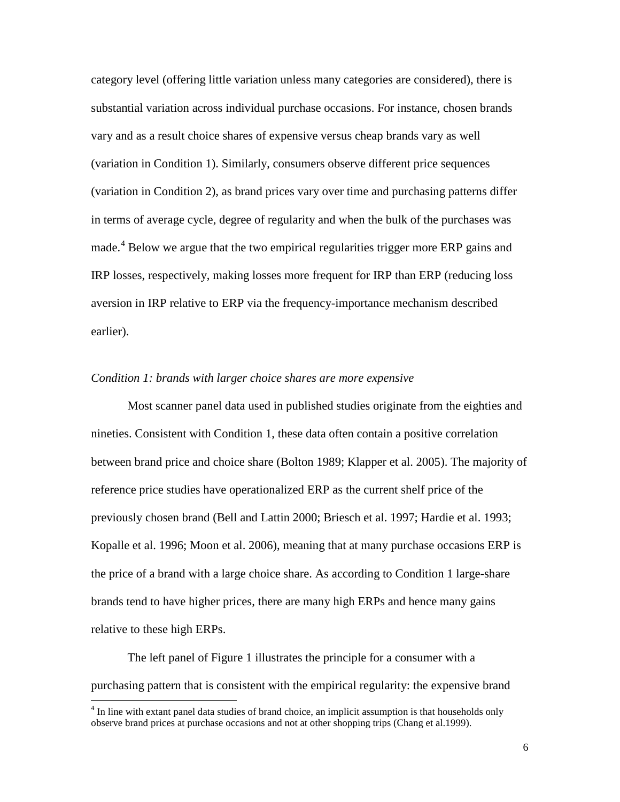category level (offering little variation unless many categories are considered), there is substantial variation across individual purchase occasions. For instance, chosen brands vary and as a result choice shares of expensive versus cheap brands vary as well (variation in Condition 1). Similarly, consumers observe different price sequences (variation in Condition 2), as brand prices vary over time and purchasing patterns differ in terms of average cycle, degree of regularity and when the bulk of the purchases was made.<sup>[4](#page-8-0)</sup> Below we argue that the two empirical regularities trigger more ERP gains and IRP losses, respectively, making losses more frequent for IRP than ERP (reducing loss aversion in IRP relative to ERP via the frequency-importance mechanism described earlier).

#### *Condition 1: brands with larger choice shares are more expensive*

Most scanner panel data used in published studies originate from the eighties and nineties. Consistent with Condition 1, these data often contain a positive correlation between brand price and choice share (Bolton 1989; Klapper et al. 2005). The majority of reference price studies have operationalized ERP as the current shelf price of the previously chosen brand (Bell and Lattin 2000; Briesch et al. 1997; Hardie et al. 1993; Kopalle et al. 1996; Moon et al. 2006), meaning that at many purchase occasions ERP is the price of a brand with a large choice share. As according to Condition 1 large-share brands tend to have higher prices, there are many high ERPs and hence many gains relative to these high ERPs.

The left panel of Figure 1 illustrates the principle for a consumer with a purchasing pattern that is consistent with the empirical regularity: the expensive brand

<span id="page-8-0"></span><sup>&</sup>lt;sup>4</sup> In line with extant panel data studies of brand choice, an implicit assumption is that households only observe brand prices at purchase occasions and not at other shopping trips (Chang et al.1999).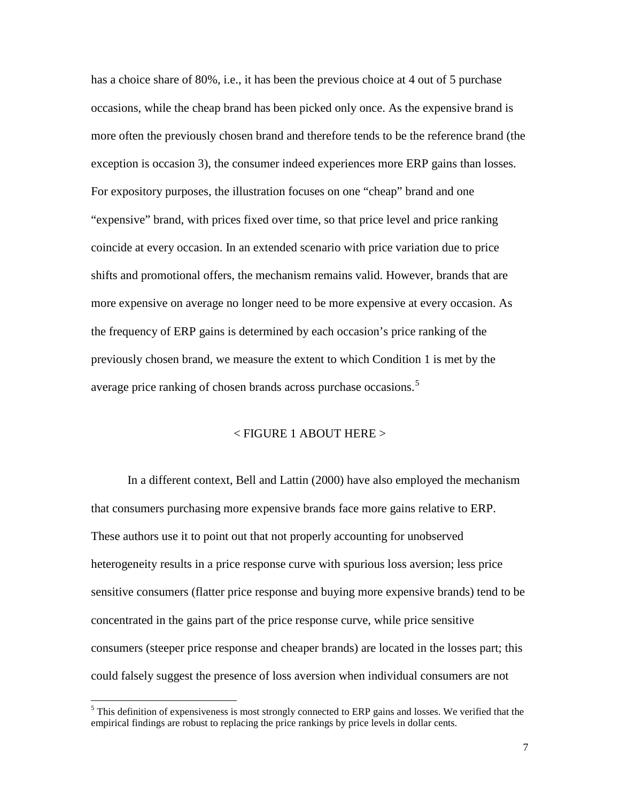has a choice share of 80%, i.e., it has been the previous choice at 4 out of 5 purchase occasions, while the cheap brand has been picked only once. As the expensive brand is more often the previously chosen brand and therefore tends to be the reference brand (the exception is occasion 3), the consumer indeed experiences more ERP gains than losses. For expository purposes, the illustration focuses on one "cheap" brand and one "expensive" brand, with prices fixed over time, so that price level and price ranking coincide at every occasion. In an extended scenario with price variation due to price shifts and promotional offers, the mechanism remains valid. However, brands that are more expensive on average no longer need to be more expensive at every occasion. As the frequency of ERP gains is determined by each occasion's price ranking of the previously chosen brand, we measure the extent to which Condition 1 is met by the average price ranking of chosen brands across purchase occasions.<sup>[5](#page-9-0)</sup>

#### $\epsilon$  FIGURE 1 ABOUT HERE  $>$

In a different context, Bell and Lattin (2000) have also employed the mechanism that consumers purchasing more expensive brands face more gains relative to ERP. These authors use it to point out that not properly accounting for unobserved heterogeneity results in a price response curve with spurious loss aversion; less price sensitive consumers (flatter price response and buying more expensive brands) tend to be concentrated in the gains part of the price response curve, while price sensitive consumers (steeper price response and cheaper brands) are located in the losses part; this could falsely suggest the presence of loss aversion when individual consumers are not

<span id="page-9-0"></span><sup>&</sup>lt;sup>5</sup> This definition of expensiveness is most strongly connected to ERP gains and losses. We verified that the empirical findings are robust to replacing the price rankings by price levels in dollar cents.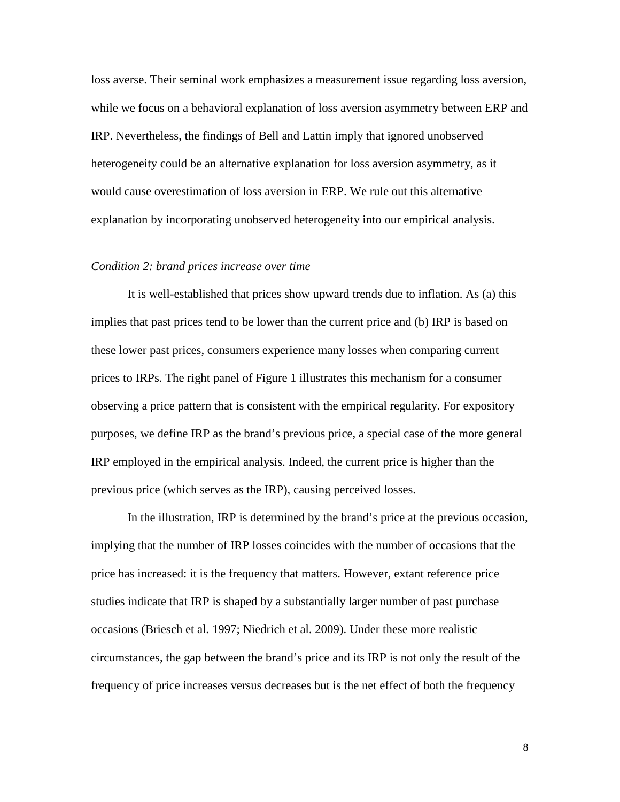loss averse. Their seminal work emphasizes a measurement issue regarding loss aversion, while we focus on a behavioral explanation of loss aversion asymmetry between ERP and IRP. Nevertheless, the findings of Bell and Lattin imply that ignored unobserved heterogeneity could be an alternative explanation for loss aversion asymmetry, as it would cause overestimation of loss aversion in ERP. We rule out this alternative explanation by incorporating unobserved heterogeneity into our empirical analysis.

#### *Condition 2: brand prices increase over time*

It is well-established that prices show upward trends due to inflation. As (a) this implies that past prices tend to be lower than the current price and (b) IRP is based on these lower past prices, consumers experience many losses when comparing current prices to IRPs. The right panel of Figure 1 illustrates this mechanism for a consumer observing a price pattern that is consistent with the empirical regularity. For expository purposes, we define IRP as the brand's previous price, a special case of the more general IRP employed in the empirical analysis. Indeed, the current price is higher than the previous price (which serves as the IRP), causing perceived losses.

In the illustration, IRP is determined by the brand's price at the previous occasion, implying that the number of IRP losses coincides with the number of occasions that the price has increased: it is the frequency that matters. However, extant reference price studies indicate that IRP is shaped by a substantially larger number of past purchase occasions (Briesch et al. 1997; Niedrich et al. 2009). Under these more realistic circumstances, the gap between the brand's price and its IRP is not only the result of the frequency of price increases versus decreases but is the net effect of both the frequency

8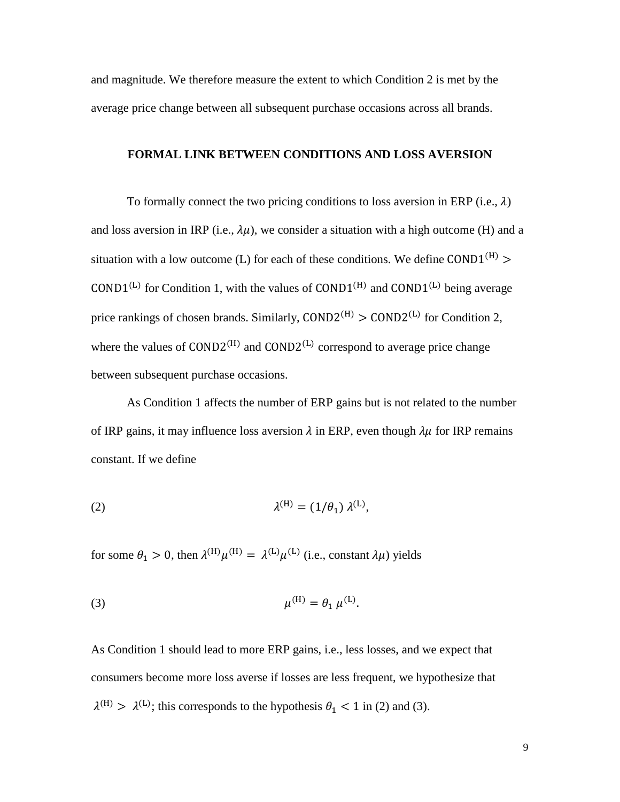and magnitude. We therefore measure the extent to which Condition 2 is met by the average price change between all subsequent purchase occasions across all brands.

#### **FORMAL LINK BETWEEN CONDITIONS AND LOSS AVERSION**

To formally connect the two pricing conditions to loss aversion in ERP (i.e.,  $\lambda$ ) and loss aversion in IRP (i.e.,  $\lambda \mu$ ), we consider a situation with a high outcome (H) and a situation with a low outcome (L) for each of these conditions. We define COND1<sup>(H)</sup> >  $\text{COMD1}^{(L)}$  for Condition 1, with the values of  $\text{COND1}^{(H)}$  and  $\text{COND1}^{(L)}$  being average price rankings of chosen brands. Similarly,  $\text{COND2}^{(H)} > \text{COND2}^{(L)}$  for Condition 2, where the values of  $COMD2^{(H)}$  and  $COMD2^{(L)}$  correspond to average price change between subsequent purchase occasions.

As Condition 1 affects the number of ERP gains but is not related to the number of IRP gains, it may influence loss aversion  $\lambda$  in ERP, even though  $\lambda \mu$  for IRP remains constant. If we define

(2) 
$$
\lambda^{(H)} = (1/\theta_1) \lambda^{(L)},
$$

for some  $\theta_1 > 0$ , then  $\lambda^{(H)} \mu^{(H)} = \lambda^{(L)} \mu^{(L)}$  (i.e., constant  $\lambda \mu$ ) yields

(3) 
$$
\mu^{(H)} = \theta_1 \mu^{(L)}.
$$

As Condition 1 should lead to more ERP gains, i.e., less losses, and we expect that consumers become more loss averse if losses are less frequent, we hypothesize that  $\lambda^{(H)} > \lambda^{(L)}$ ; this corresponds to the hypothesis  $\theta_1 < 1$  in (2) and (3).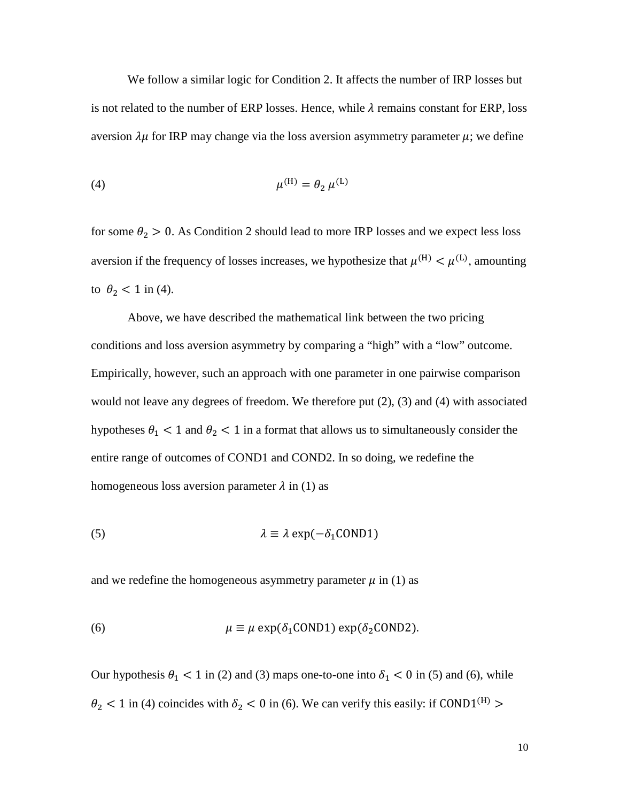We follow a similar logic for Condition 2. It affects the number of IRP losses but is not related to the number of ERP losses. Hence, while  $\lambda$  remains constant for ERP, loss aversion  $\lambda \mu$  for IRP may change via the loss aversion asymmetry parameter  $\mu$ ; we define

(4) 
$$
\mu^{(H)} = \theta_2 \mu^{(L)}
$$

for some  $\theta_2 > 0$ . As Condition 2 should lead to more IRP losses and we expect less loss aversion if the frequency of losses increases, we hypothesize that  $\mu^{(H)} < \mu^{(L)}$ , amounting to  $\theta_2$  < 1 in (4).

Above, we have described the mathematical link between the two pricing conditions and loss aversion asymmetry by comparing a "high" with a "low" outcome. Empirically, however, such an approach with one parameter in one pairwise comparison would not leave any degrees of freedom. We therefore put (2), (3) and (4) with associated hypotheses  $\theta_1$  < 1 and  $\theta_2$  < 1 in a format that allows us to simultaneously consider the entire range of outcomes of COND1 and COND2. In so doing, we redefine the homogeneous loss aversion parameter  $\lambda$  in (1) as

(5) 
$$
\lambda \equiv \lambda \exp(-\delta_1 \text{COND1})
$$

and we redefine the homogeneous asymmetry parameter  $\mu$  in (1) as

(6) 
$$
\mu \equiv \mu \exp(\delta_1 \text{COND1}) \exp(\delta_2 \text{COND2}).
$$

Our hypothesis  $\theta_1$  < 1 in (2) and (3) maps one-to-one into  $\delta_1$  < 0 in (5) and (6), while  $\theta_2$  < 1 in (4) coincides with  $\delta_2$  < 0 in (6). We can verify this easily: if COND1<sup>(H)</sup> >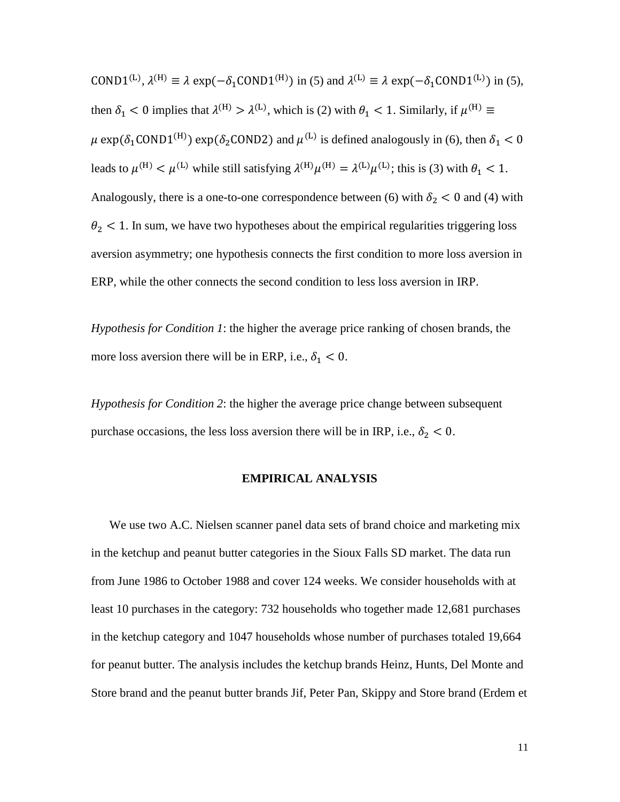COND1<sup>(L)</sup>,  $\lambda^{(H)} \equiv \lambda \exp(-\delta_1 \text{COND1}^{(H)})$  in (5) and  $\lambda^{(L)} \equiv \lambda \exp(-\delta_1 \text{COND1}^{(L)})$  in (5), then  $\delta_1$  < 0 implies that  $\lambda^{(H)} > \lambda^{(L)}$ , which is (2) with  $\theta_1$  < 1. Similarly, if  $\mu^{(H)} \equiv$  $\mu$  exp( $\delta_1$ COND1<sup>(H)</sup>) exp( $\delta_2$ COND2) and  $\mu$ <sup>(L)</sup> is defined analogously in (6), then  $\delta_1$  < 0 leads to  $\mu^{(H)} < \mu^{(L)}$  while still satisfying  $\lambda^{(H)}\mu^{(H)} = \lambda^{(L)}\mu^{(L)}$ ; this is (3) with  $\theta_1 < 1$ . Analogously, there is a one-to-one correspondence between (6) with  $\delta_2 < 0$  and (4) with  $\theta_2$  < 1. In sum, we have two hypotheses about the empirical regularities triggering loss aversion asymmetry; one hypothesis connects the first condition to more loss aversion in ERP, while the other connects the second condition to less loss aversion in IRP.

*Hypothesis for Condition 1*: the higher the average price ranking of chosen brands, the more loss aversion there will be in ERP, i.e.,  $\delta_1 < 0$ .

*Hypothesis for Condition 2*: the higher the average price change between subsequent purchase occasions, the less loss aversion there will be in IRP, i.e.,  $\delta_2 < 0$ .

#### **EMPIRICAL ANALYSIS**

We use two A.C. Nielsen scanner panel data sets of brand choice and marketing mix in the ketchup and peanut butter categories in the Sioux Falls SD market. The data run from June 1986 to October 1988 and cover 124 weeks. We consider households with at least 10 purchases in the category: 732 households who together made 12,681 purchases in the ketchup category and 1047 households whose number of purchases totaled 19,664 for peanut butter. The analysis includes the ketchup brands Heinz, Hunts, Del Monte and Store brand and the peanut butter brands Jif, Peter Pan, Skippy and Store brand (Erdem et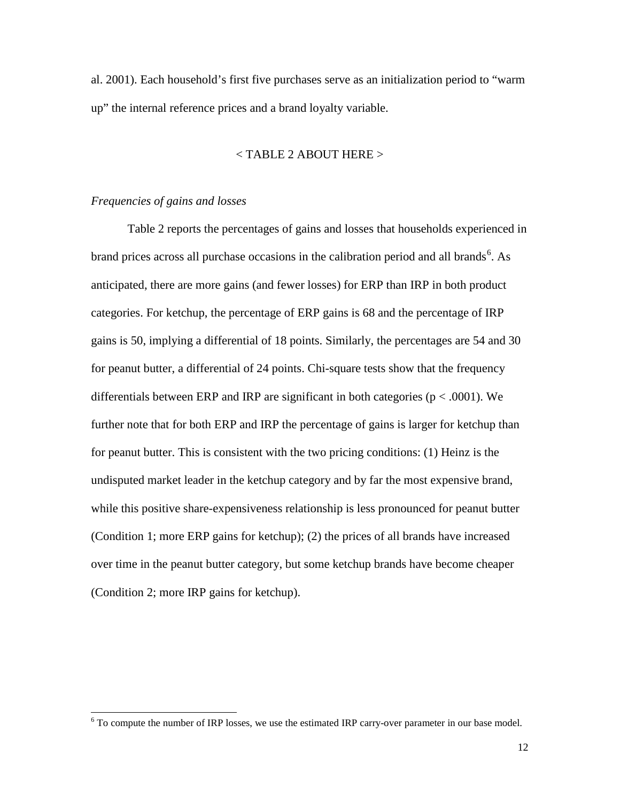al. 2001). Each household's first five purchases serve as an initialization period to "warm up" the internal reference prices and a brand loyalty variable.

#### < TABLE 2 ABOUT HERE >

#### *Frequencies of gains and losses*

Table 2 reports the percentages of gains and losses that households experienced in brand prices across all purchase occasions in the calibration period and all brands<sup>[6](#page-14-0)</sup>. As anticipated, there are more gains (and fewer losses) for ERP than IRP in both product categories. For ketchup, the percentage of ERP gains is 68 and the percentage of IRP gains is 50, implying a differential of 18 points. Similarly, the percentages are 54 and 30 for peanut butter, a differential of 24 points. Chi-square tests show that the frequency differentials between ERP and IRP are significant in both categories ( $p < .0001$ ). We further note that for both ERP and IRP the percentage of gains is larger for ketchup than for peanut butter. This is consistent with the two pricing conditions: (1) Heinz is the undisputed market leader in the ketchup category and by far the most expensive brand, while this positive share-expensiveness relationship is less pronounced for peanut butter (Condition 1; more ERP gains for ketchup); (2) the prices of all brands have increased over time in the peanut butter category, but some ketchup brands have become cheaper (Condition 2; more IRP gains for ketchup).

<span id="page-14-0"></span><sup>6</sup> To compute the number of IRP losses, we use the estimated IRP carry-over parameter in our base model.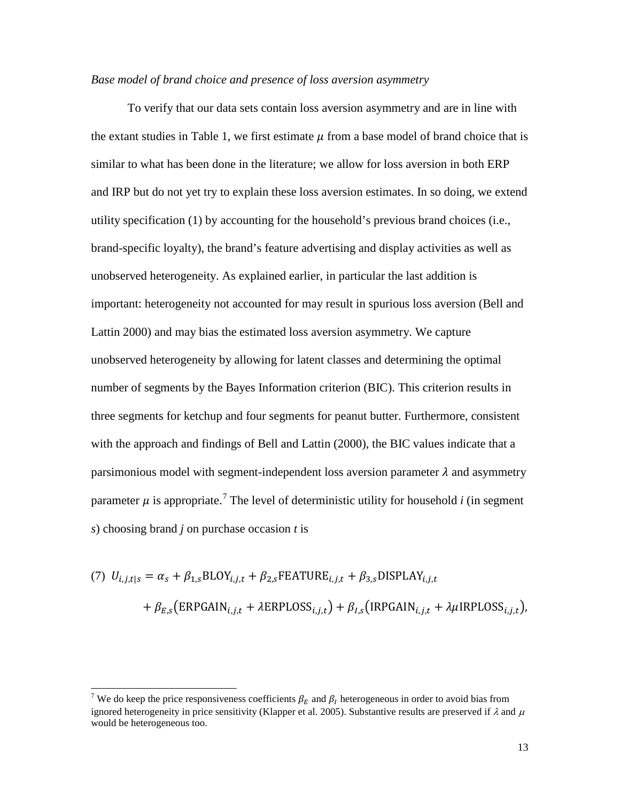#### *Base model of brand choice and presence of loss aversion asymmetry*

To verify that our data sets contain loss aversion asymmetry and are in line with the extant studies in Table 1, we first estimate  $\mu$  from a base model of brand choice that is similar to what has been done in the literature; we allow for loss aversion in both ERP and IRP but do not yet try to explain these loss aversion estimates. In so doing, we extend utility specification (1) by accounting for the household's previous brand choices (i.e., brand-specific loyalty), the brand's feature advertising and display activities as well as unobserved heterogeneity. As explained earlier, in particular the last addition is important: heterogeneity not accounted for may result in spurious loss aversion (Bell and Lattin 2000) and may bias the estimated loss aversion asymmetry. We capture unobserved heterogeneity by allowing for latent classes and determining the optimal number of segments by the Bayes Information criterion (BIC). This criterion results in three segments for ketchup and four segments for peanut butter. Furthermore, consistent with the approach and findings of Bell and Lattin (2000), the BIC values indicate that a parsimonious model with segment-independent loss aversion parameter  $\lambda$  and asymmetry parameter  $\mu$  is appropriate.<sup>[7](#page-15-0)</sup> The level of deterministic utility for household *i* (in segment *s*) choosing brand *j* on purchase occasion *t* is

(7) 
$$
U_{i,j,t|s} = \alpha_s + \beta_{1,s} \text{BLOY}_{i,j,t} + \beta_{2,s} \text{FEATURE}_{i,j,t} + \beta_{3,s} \text{DISPLAN}_{i,j,t}
$$
  
+  $\beta_{E,s} \text{(ERPGAIN}_{i,j,t} + \lambda \text{ERPLOSS}_{i,j,t}) + \beta_{I,s} \text{(IRPGAIN}_{i,j,t} + \lambda \mu \text{IRPLOSS}_{i,j,t}),$ 

<span id="page-15-0"></span><sup>&</sup>lt;sup>7</sup> We do keep the price responsiveness coefficients  $\beta_E$  and  $\beta_I$  heterogeneous in order to avoid bias from ignored heterogeneity in price sensitivity (Klapper et al. 2005). Substantive results are preserved if  $\lambda$  and  $\mu$ would be heterogeneous too.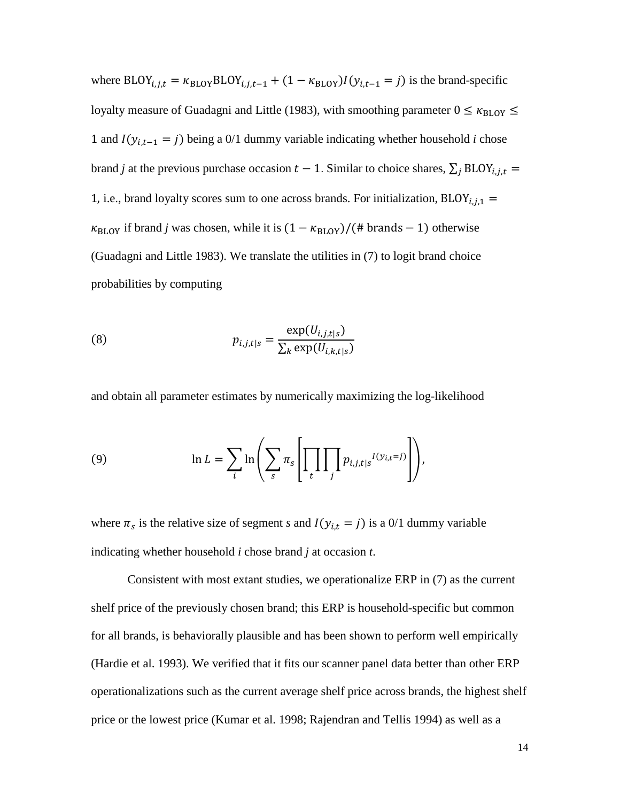where BLOY<sub>i,j,t</sub> =  $\kappa_{\text{BLOY}}$ BLOY<sub>i,j,t-1</sub> + (1 –  $\kappa_{\text{BLOY}}$ ) $I(y_{i,t-1} = j)$  is the brand-specific loyalty measure of Guadagni and Little (1983), with smoothing parameter  $0 \leq \kappa_{\text{BLOY}} \leq$ 1 and  $I(y_{i,t-1} = j)$  being a 0/1 dummy variable indicating whether household *i* chose brand *j* at the previous purchase occasion  $t - 1$ . Similar to choice shares,  $\sum_j \text{BLOY}_{i,j,t} =$ 1, i.e., brand loyalty scores sum to one across brands. For initialization,  $BLOY_{i,j,1}$  =  $\kappa_{\text{BLOY}}$  if brand *j* was chosen, while it is  $(1 - \kappa_{\text{BLOY}})/(#$  brands – 1) otherwise (Guadagni and Little 1983). We translate the utilities in (7) to logit brand choice probabilities by computing

(8) 
$$
p_{i,j,t|s} = \frac{\exp(U_{i,j,t|s})}{\sum_{k} \exp(U_{i,k,t|s})}
$$

and obtain all parameter estimates by numerically maximizing the log-likelihood

(9) 
$$
\ln L = \sum_{i} \ln \left( \sum_{s} \pi_{s} \left[ \prod_{t} \prod_{j} p_{i,j,t|s}^{I(y_{i,t}=j)} \right] \right),
$$

where  $\pi_s$  is the relative size of segment *s* and  $I(y_{i,t} = j)$  is a 0/1 dummy variable indicating whether household *i* chose brand *j* at occasion *t*.

Consistent with most extant studies, we operationalize ERP in (7) as the current shelf price of the previously chosen brand; this ERP is household-specific but common for all brands, is behaviorally plausible and has been shown to perform well empirically (Hardie et al. 1993). We verified that it fits our scanner panel data better than other ERP operationalizations such as the current average shelf price across brands, the highest shelf price or the lowest price (Kumar et al. 1998; Rajendran and Tellis 1994) as well as a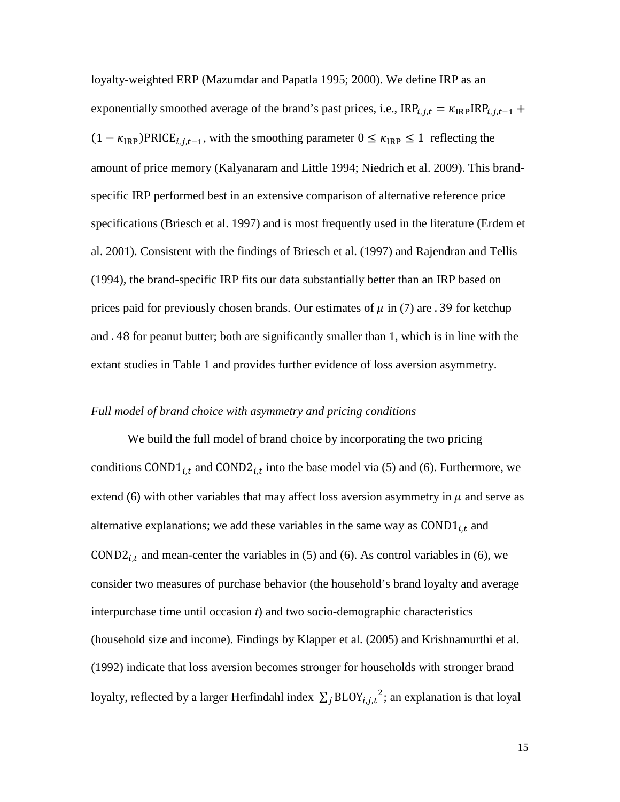loyalty-weighted ERP (Mazumdar and Papatla 1995; 2000). We define IRP as an exponentially smoothed average of the brand's past prices, i.e.,  $IRP_{i,j,t} = \kappa_{IRP}IRP_{i,j,t-1} +$  $(1 - \kappa_{IRP})PRICE_{i,j,t-1}$ , with the smoothing parameter  $0 \leq \kappa_{IRP} \leq 1$  reflecting the amount of price memory (Kalyanaram and Little 1994; Niedrich et al. 2009). This brandspecific IRP performed best in an extensive comparison of alternative reference price specifications (Briesch et al. 1997) and is most frequently used in the literature (Erdem et al. 2001). Consistent with the findings of Briesch et al. (1997) and Rajendran and Tellis (1994), the brand-specific IRP fits our data substantially better than an IRP based on prices paid for previously chosen brands. Our estimates of  $\mu$  in (7) are . 39 for ketchup and . 48 for peanut butter; both are significantly smaller than 1, which is in line with the extant studies in Table 1 and provides further evidence of loss aversion asymmetry.

#### *Full model of brand choice with asymmetry and pricing conditions*

We build the full model of brand choice by incorporating the two pricing conditions COND1<sub>i,t</sub> and COND2<sub>i,t</sub> into the base model via (5) and (6). Furthermore, we extend (6) with other variables that may affect loss aversion asymmetry in  $\mu$  and serve as alternative explanations; we add these variables in the same way as  $COMD1_{i,t}$  and COND2<sub>i,t</sub> and mean-center the variables in (5) and (6). As control variables in (6), we consider two measures of purchase behavior (the household's brand loyalty and average interpurchase time until occasion *t*) and two socio-demographic characteristics (household size and income). Findings by Klapper et al. (2005) and Krishnamurthi et al. (1992) indicate that loss aversion becomes stronger for households with stronger brand loyalty, reflected by a larger Herfindahl index  $\sum_j \text{BLOY}_{i,j,t}^2$ ; an explanation is that loyal

15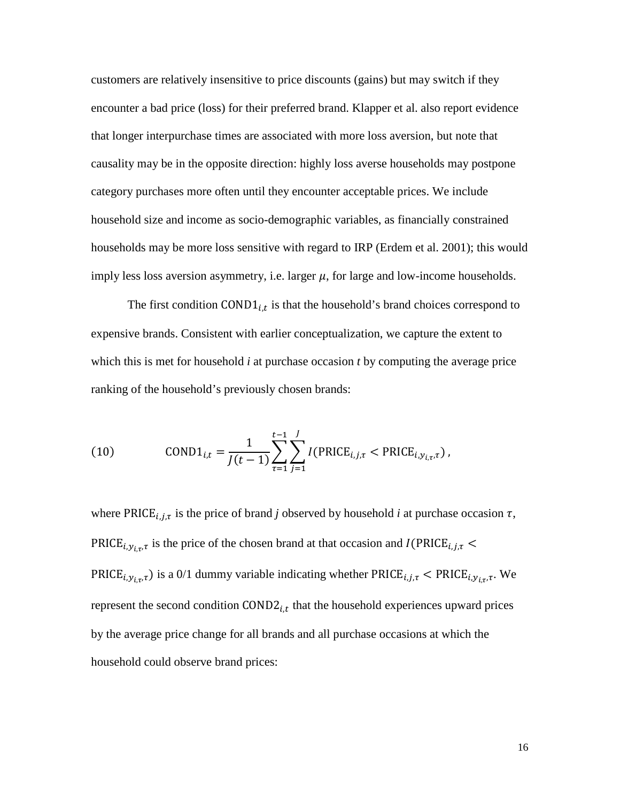customers are relatively insensitive to price discounts (gains) but may switch if they encounter a bad price (loss) for their preferred brand. Klapper et al. also report evidence that longer interpurchase times are associated with more loss aversion, but note that causality may be in the opposite direction: highly loss averse households may postpone category purchases more often until they encounter acceptable prices. We include household size and income as socio-demographic variables, as financially constrained households may be more loss sensitive with regard to IRP (Erdem et al. 2001); this would imply less loss aversion asymmetry, i.e. larger  $\mu$ , for large and low-income households.

The first condition COND1 $_{i,t}$  is that the household's brand choices correspond to expensive brands. Consistent with earlier conceptualization, we capture the extent to which this is met for household *i* at purchase occasion *t* by computing the average price ranking of the household's previously chosen brands:

(10) 
$$
\text{COND1}_{i,t} = \frac{1}{J(t-1)} \sum_{\tau=1}^{t-1} \sum_{j=1}^{J} I(\text{PRICE}_{i,j,\tau} < \text{PRICE}_{i,y_{i,\tau},\tau}),
$$

where PRICE<sub>i, j, $\tau$ </sub> is the price of brand *j* observed by household *i* at purchase occasion  $\tau$ , PRICE<sub>i,  $y_{i\tau}$ </sub> is the price of the chosen brand at that occasion and I(PRICE<sub>i, j, $\tau$ </sub> PRICE<sub>i, $y_{i,\tau}$ </sub>) is a 0/1 dummy variable indicating whether PRICE<sub>i,  $j$ ,  $\tau$ </sub> < PRICE<sub>i, $y_{i,\tau}$ </sub>. We represent the second condition  $\text{COND2}_{i,t}$  that the household experiences upward prices by the average price change for all brands and all purchase occasions at which the household could observe brand prices: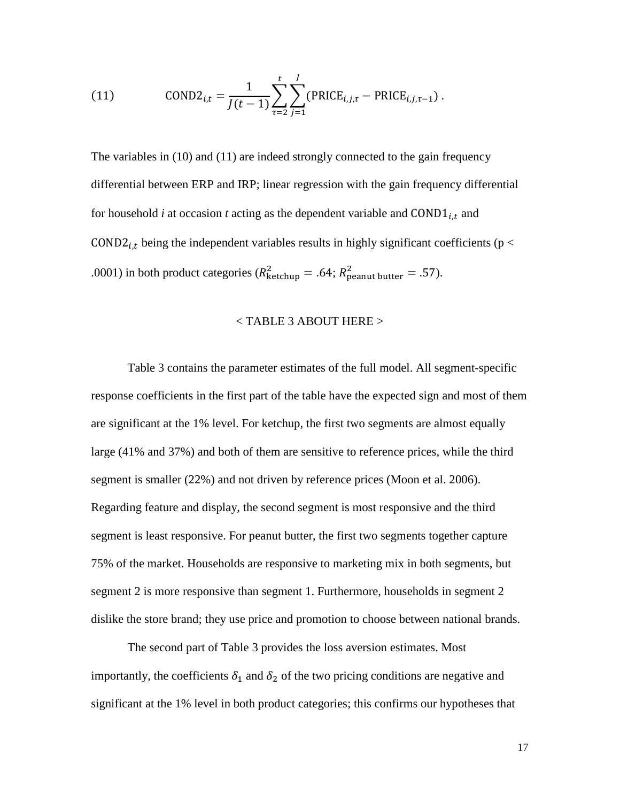(11) 
$$
CONF_{i,t} = \frac{1}{J(t-1)} \sum_{\tau=2}^{t} \sum_{j=1}^{J} (PRICE_{i,j,\tau} - PRICE_{i,j,\tau-1}).
$$

The variables in (10) and (11) are indeed strongly connected to the gain frequency differential between ERP and IRP; linear regression with the gain frequency differential for household  $i$  at occasion  $t$  acting as the dependent variable and COND1 $_{i,t}$  and COND2<sub>i,t</sub> being the independent variables results in highly significant coefficients ( $p <$ .0001) in both product categories ( $R_{\text{ketchup}}^2 = .64$ ;  $R_{\text{peanut butter}}^2 = .57$ ).

#### < TABLE 3 ABOUT HERE >

Table 3 contains the parameter estimates of the full model. All segment-specific response coefficients in the first part of the table have the expected sign and most of them are significant at the 1% level. For ketchup, the first two segments are almost equally large (41% and 37%) and both of them are sensitive to reference prices, while the third segment is smaller (22%) and not driven by reference prices (Moon et al. 2006). Regarding feature and display, the second segment is most responsive and the third segment is least responsive. For peanut butter, the first two segments together capture 75% of the market. Households are responsive to marketing mix in both segments, but segment 2 is more responsive than segment 1. Furthermore, households in segment 2 dislike the store brand; they use price and promotion to choose between national brands.

The second part of Table 3 provides the loss aversion estimates. Most importantly, the coefficients  $\delta_1$  and  $\delta_2$  of the two pricing conditions are negative and significant at the 1% level in both product categories; this confirms our hypotheses that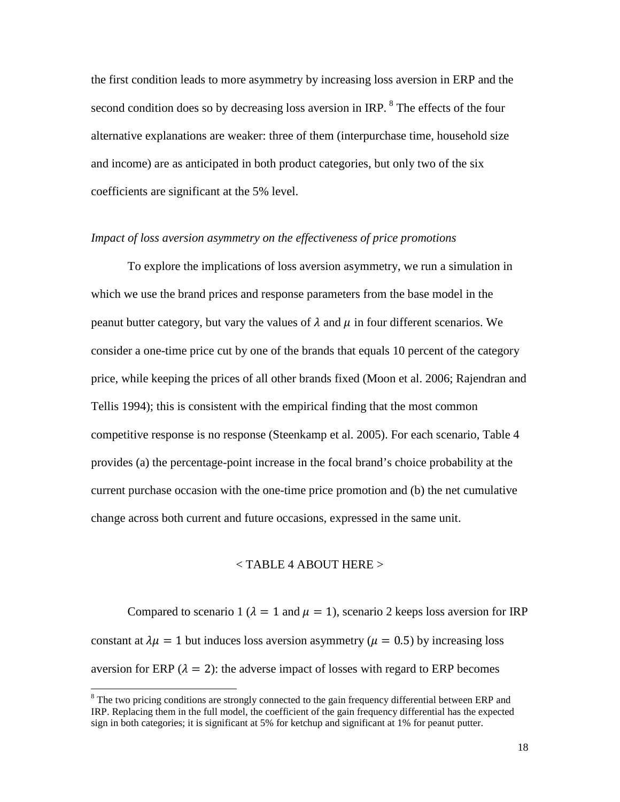the first condition leads to more asymmetry by increasing loss aversion in ERP and the second condition does so by decreasing loss aversion in IRP.  $8$  The effects of the four alternative explanations are weaker: three of them (interpurchase time, household size and income) are as anticipated in both product categories, but only two of the six coefficients are significant at the 5% level.

#### *Impact of loss aversion asymmetry on the effectiveness of price promotions*

To explore the implications of loss aversion asymmetry, we run a simulation in which we use the brand prices and response parameters from the base model in the peanut butter category, but vary the values of  $\lambda$  and  $\mu$  in four different scenarios. We consider a one-time price cut by one of the brands that equals 10 percent of the category price, while keeping the prices of all other brands fixed (Moon et al. 2006; Rajendran and Tellis 1994); this is consistent with the empirical finding that the most common competitive response is no response (Steenkamp et al. 2005). For each scenario, Table 4 provides (a) the percentage-point increase in the focal brand's choice probability at the current purchase occasion with the one-time price promotion and (b) the net cumulative change across both current and future occasions, expressed in the same unit.

#### $<$  TABLE 4 ABOUT HERE  $>$

Compared to scenario 1 ( $\lambda = 1$  and  $\mu = 1$ ), scenario 2 keeps loss aversion for IRP constant at  $\lambda \mu = 1$  but induces loss aversion asymmetry ( $\mu = 0.5$ ) by increasing loss aversion for ERP ( $\lambda = 2$ ): the adverse impact of losses with regard to ERP becomes

<span id="page-20-0"></span> $8$  The two pricing conditions are strongly connected to the gain frequency differential between ERP and IRP. Replacing them in the full model, the coefficient of the gain frequency differential has the expected sign in both categories; it is significant at 5% for ketchup and significant at 1% for peanut putter.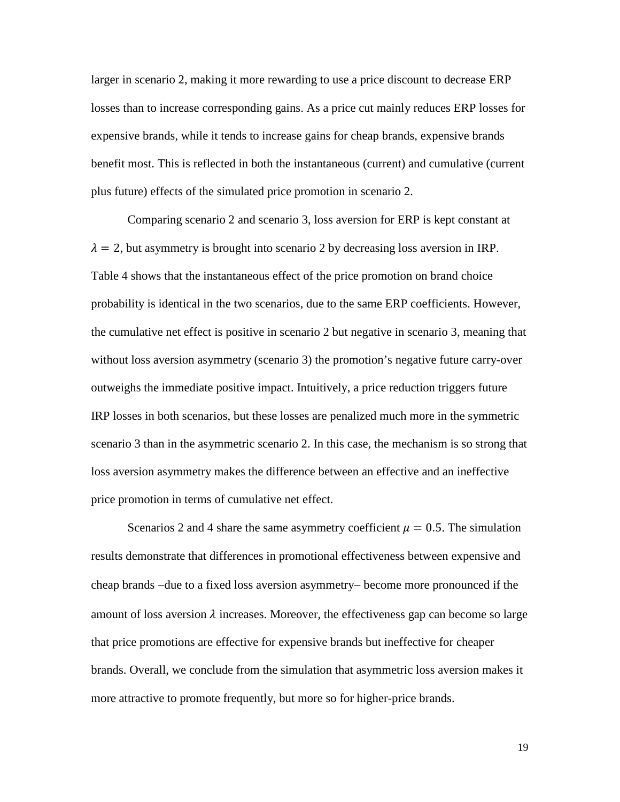larger in scenario 2, making it more rewarding to use a price discount to decrease ERP losses than to increase corresponding gains. As a price cut mainly reduces ERP losses for expensive brands, while it tends to increase gains for cheap brands, expensive brands benefit most. This is reflected in both the instantaneous (current) and cumulative (current plus future) effects of the simulated price promotion in scenario 2.

Comparing scenario 2 and scenario 3, loss aversion for ERP is kept constant at  $\lambda = 2$ , but asymmetry is brought into scenario 2 by decreasing loss aversion in IRP. Table 4 shows that the instantaneous effect of the price promotion on brand choice probability is identical in the two scenarios, due to the same ERP coefficients. However, the cumulative net effect is positive in scenario 2 but negative in scenario 3, meaning that without loss aversion asymmetry (scenario 3) the promotion's negative future carry-over outweighs the immediate positive impact. Intuitively, a price reduction triggers future IRP losses in both scenarios, but these losses are penalized much more in the symmetric scenario 3 than in the asymmetric scenario 2. In this case, the mechanism is so strong that loss aversion asymmetry makes the difference between an effective and an ineffective price promotion in terms of cumulative net effect.

Scenarios 2 and 4 share the same asymmetry coefficient  $\mu = 0.5$ . The simulation results demonstrate that differences in promotional effectiveness between expensive and cheap brands −due to a fixed loss aversion asymmetry− become more pronounced if the amount of loss aversion  $\lambda$  increases. Moreover, the effectiveness gap can become so large that price promotions are effective for expensive brands but ineffective for cheaper brands. Overall, we conclude from the simulation that asymmetric loss aversion makes it more attractive to promote frequently, but more so for higher-price brands.

19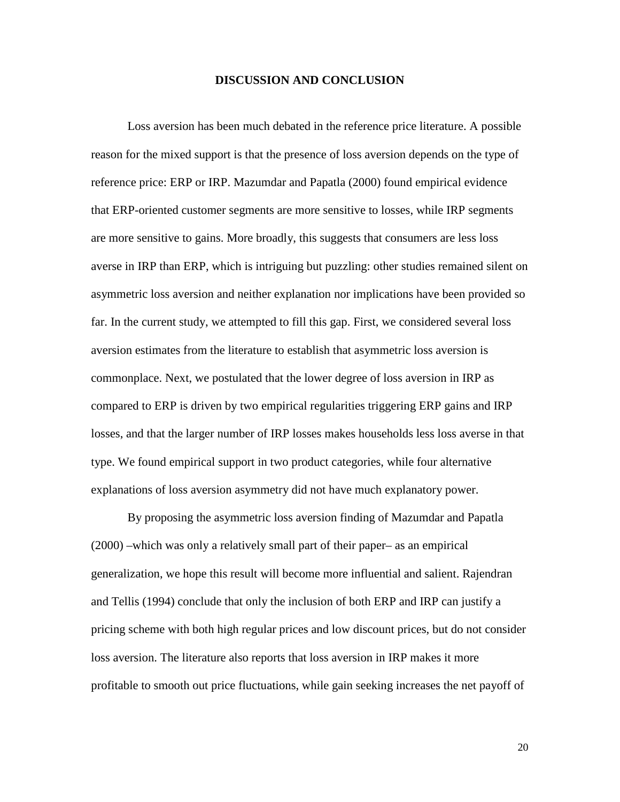#### **DISCUSSION AND CONCLUSION**

Loss aversion has been much debated in the reference price literature. A possible reason for the mixed support is that the presence of loss aversion depends on the type of reference price: ERP or IRP. Mazumdar and Papatla (2000) found empirical evidence that ERP-oriented customer segments are more sensitive to losses, while IRP segments are more sensitive to gains. More broadly, this suggests that consumers are less loss averse in IRP than ERP, which is intriguing but puzzling: other studies remained silent on asymmetric loss aversion and neither explanation nor implications have been provided so far. In the current study, we attempted to fill this gap. First, we considered several loss aversion estimates from the literature to establish that asymmetric loss aversion is commonplace. Next, we postulated that the lower degree of loss aversion in IRP as compared to ERP is driven by two empirical regularities triggering ERP gains and IRP losses, and that the larger number of IRP losses makes households less loss averse in that type. We found empirical support in two product categories, while four alternative explanations of loss aversion asymmetry did not have much explanatory power.

By proposing the asymmetric loss aversion finding of Mazumdar and Papatla (2000) –which was only a relatively small part of their paper– as an empirical generalization, we hope this result will become more influential and salient. Rajendran and Tellis (1994) conclude that only the inclusion of both ERP and IRP can justify a pricing scheme with both high regular prices and low discount prices, but do not consider loss aversion. The literature also reports that loss aversion in IRP makes it more profitable to smooth out price fluctuations, while gain seeking increases the net payoff of

20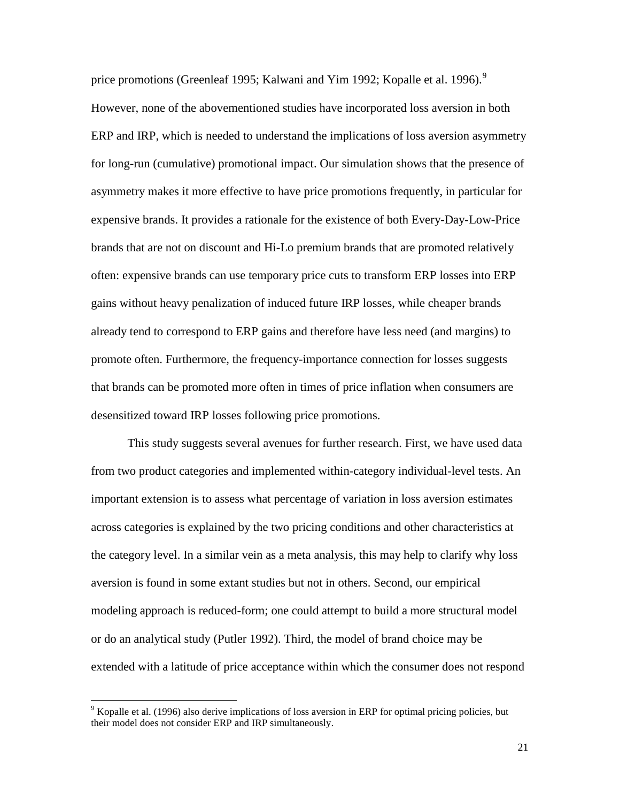price promotions (Greenleaf 1[9](#page-23-0)95; Kalwani and Yim 1992; Kopalle et al. 1996).<sup>9</sup> However, none of the abovementioned studies have incorporated loss aversion in both ERP and IRP, which is needed to understand the implications of loss aversion asymmetry for long-run (cumulative) promotional impact. Our simulation shows that the presence of asymmetry makes it more effective to have price promotions frequently, in particular for expensive brands. It provides a rationale for the existence of both Every-Day-Low-Price brands that are not on discount and Hi-Lo premium brands that are promoted relatively often: expensive brands can use temporary price cuts to transform ERP losses into ERP gains without heavy penalization of induced future IRP losses, while cheaper brands already tend to correspond to ERP gains and therefore have less need (and margins) to promote often. Furthermore, the frequency-importance connection for losses suggests that brands can be promoted more often in times of price inflation when consumers are desensitized toward IRP losses following price promotions.

This study suggests several avenues for further research. First, we have used data from two product categories and implemented within-category individual-level tests. An important extension is to assess what percentage of variation in loss aversion estimates across categories is explained by the two pricing conditions and other characteristics at the category level. In a similar vein as a meta analysis, this may help to clarify why loss aversion is found in some extant studies but not in others. Second, our empirical modeling approach is reduced-form; one could attempt to build a more structural model or do an analytical study (Putler 1992). Third, the model of brand choice may be extended with a latitude of price acceptance within which the consumer does not respond

<span id="page-23-0"></span><sup>&</sup>lt;sup>9</sup> Kopalle et al. (1996) also derive implications of loss aversion in ERP for optimal pricing policies, but their model does not consider ERP and IRP simultaneously.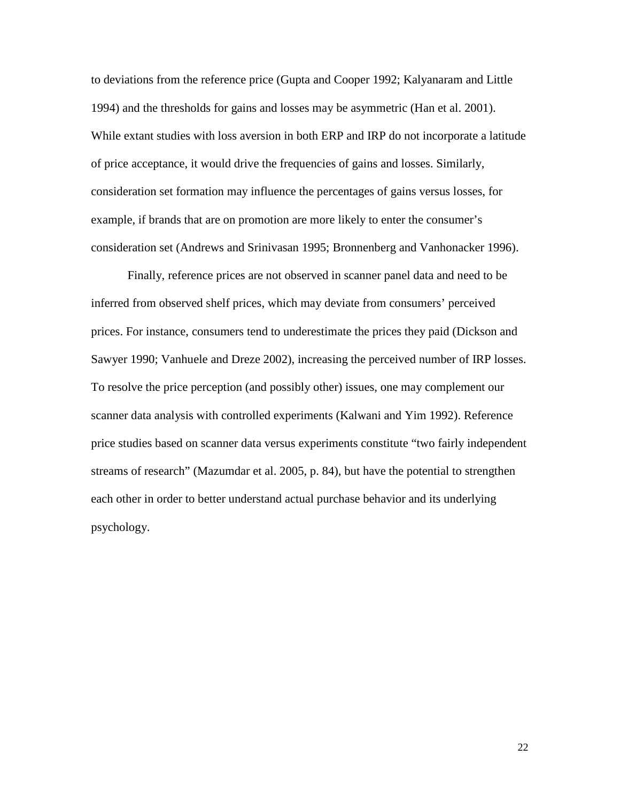to deviations from the reference price (Gupta and Cooper 1992; Kalyanaram and Little 1994) and the thresholds for gains and losses may be asymmetric (Han et al. 2001). While extant studies with loss aversion in both ERP and IRP do not incorporate a latitude of price acceptance, it would drive the frequencies of gains and losses. Similarly, consideration set formation may influence the percentages of gains versus losses, for example, if brands that are on promotion are more likely to enter the consumer's consideration set (Andrews and Srinivasan 1995; Bronnenberg and Vanhonacker 1996).

Finally, reference prices are not observed in scanner panel data and need to be inferred from observed shelf prices, which may deviate from consumers' perceived prices. For instance, consumers tend to underestimate the prices they paid (Dickson and Sawyer 1990; Vanhuele and Dreze 2002), increasing the perceived number of IRP losses. To resolve the price perception (and possibly other) issues, one may complement our scanner data analysis with controlled experiments (Kalwani and Yim 1992). Reference price studies based on scanner data versus experiments constitute "two fairly independent streams of research" (Mazumdar et al. 2005, p. 84), but have the potential to strengthen each other in order to better understand actual purchase behavior and its underlying psychology.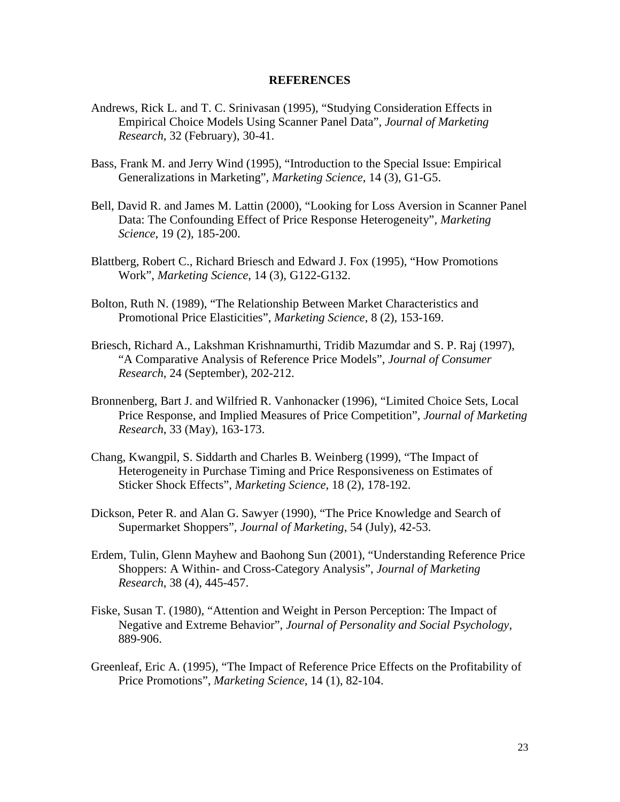#### **REFERENCES**

- Andrews, Rick L. and T. C. Srinivasan (1995), "Studying Consideration Effects in Empirical Choice Models Using Scanner Panel Data", *Journal of Marketing Research*, 32 (February), 30-41.
- Bass, Frank M. and Jerry Wind (1995), "Introduction to the Special Issue: Empirical Generalizations in Marketing", *Marketing Science*, 14 (3), G1-G5.
- Bell, David R. and James M. Lattin (2000), "Looking for Loss Aversion in Scanner Panel Data: The Confounding Effect of Price Response Heterogeneity", *Marketing Science*, 19 (2), 185-200.
- Blattberg, Robert C., Richard Briesch and Edward J. Fox (1995), "How Promotions Work", *Marketing Science*, 14 (3), G122-G132.
- Bolton, Ruth N. (1989), "The Relationship Between Market Characteristics and Promotional Price Elasticities", *Marketing Science*, 8 (2), 153-169.
- Briesch, Richard A., Lakshman Krishnamurthi, Tridib Mazumdar and S. P. Raj (1997), "A Comparative Analysis of Reference Price Models", *Journal of Consumer Research*, 24 (September), 202-212.
- Bronnenberg, Bart J. and Wilfried R. Vanhonacker (1996), "Limited Choice Sets, Local Price Response, and Implied Measures of Price Competition", *Journal of Marketing Research*, 33 (May), 163-173.
- Chang, Kwangpil, S. Siddarth and Charles B. Weinberg (1999), "The Impact of Heterogeneity in Purchase Timing and Price Responsiveness on Estimates of Sticker Shock Effects", *Marketing Science*, 18 (2), 178-192.
- Dickson, Peter R. and Alan G. Sawyer (1990), "The Price Knowledge and Search of Supermarket Shoppers", *Journal of Marketing*, 54 (July), 42-53.
- Erdem, Tulin, Glenn Mayhew and Baohong Sun (2001), "Understanding Reference Price Shoppers: A Within- and Cross-Category Analysis", *Journal of Marketing Research*, 38 (4), 445-457.
- Fiske, Susan T. (1980), "Attention and Weight in Person Perception: The Impact of Negative and Extreme Behavior", *Journal of Personality and Social Psychology*, 889-906.
- Greenleaf, Eric A. (1995), "The Impact of Reference Price Effects on the Profitability of Price Promotions", *Marketing Science*, 14 (1), 82-104.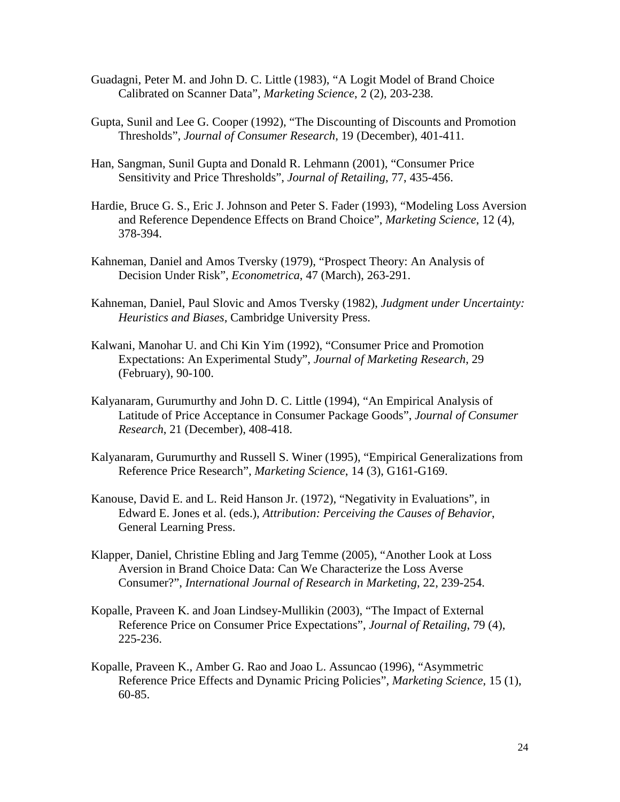- Guadagni, Peter M. and John D. C. Little (1983), "A Logit Model of Brand Choice Calibrated on Scanner Data", *Marketing Science*, 2 (2), 203-238.
- Gupta, Sunil and Lee G. Cooper (1992), "The Discounting of Discounts and Promotion Thresholds", *Journal of Consumer Research*, 19 (December), 401-411.
- Han, Sangman, Sunil Gupta and Donald R. Lehmann (2001), "Consumer Price Sensitivity and Price Thresholds", *Journal of Retailing*, 77, 435-456.
- Hardie, Bruce G. S., Eric J. Johnson and Peter S. Fader (1993), "Modeling Loss Aversion and Reference Dependence Effects on Brand Choice", *Marketing Science*, 12 (4), 378-394.
- Kahneman, Daniel and Amos Tversky (1979), "Prospect Theory: An Analysis of Decision Under Risk", *Econometrica*, 47 (March), 263-291.
- Kahneman, Daniel, Paul Slovic and Amos Tversky (1982), *Judgment under Uncertainty: Heuristics and Biases*, Cambridge University Press.
- Kalwani, Manohar U. and Chi Kin Yim (1992), "Consumer Price and Promotion Expectations: An Experimental Study", *Journal of Marketing Research*, 29 (February), 90-100.
- Kalyanaram, Gurumurthy and John D. C. Little (1994), "An Empirical Analysis of Latitude of Price Acceptance in Consumer Package Goods", *Journal of Consumer Research*, 21 (December), 408-418.
- Kalyanaram, Gurumurthy and Russell S. Winer (1995), "Empirical Generalizations from Reference Price Research", *Marketing Science*, 14 (3), G161-G169.
- Kanouse, David E. and L. Reid Hanson Jr. (1972), "Negativity in Evaluations", in Edward E. Jones et al. (eds.), *Attribution: Perceiving the Causes of Behavior*, General Learning Press.
- Klapper, Daniel, Christine Ebling and Jarg Temme (2005), "Another Look at Loss Aversion in Brand Choice Data: Can We Characterize the Loss Averse Consumer?", *International Journal of Research in Marketing*, 22, 239-254.
- Kopalle, Praveen K. and Joan Lindsey-Mullikin (2003), "The Impact of External Reference Price on Consumer Price Expectations", *Journal of Retailing*, 79 (4), 225-236.
- Kopalle, Praveen K., Amber G. Rao and Joao L. Assuncao (1996), "Asymmetric Reference Price Effects and Dynamic Pricing Policies", *Marketing Science*, 15 (1), 60-85.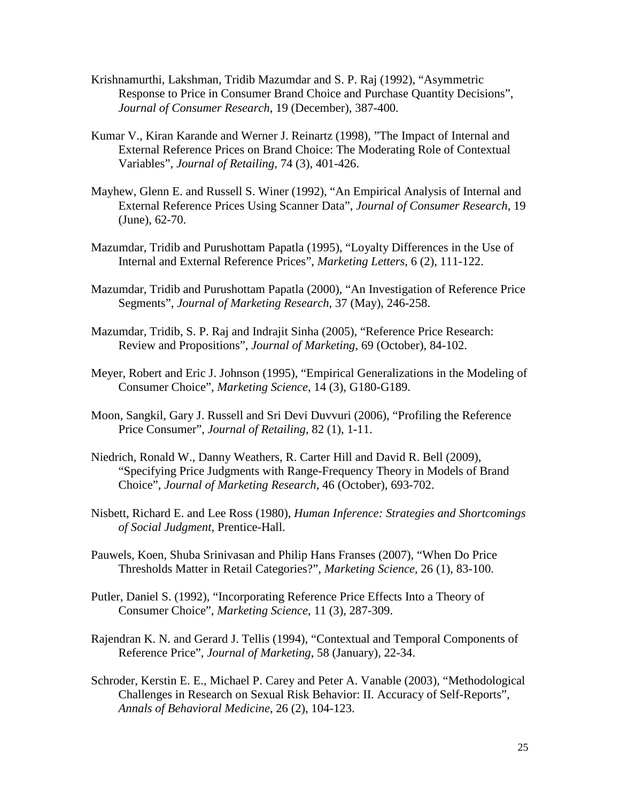- Krishnamurthi, Lakshman, Tridib Mazumdar and S. P. Raj (1992), "Asymmetric Response to Price in Consumer Brand Choice and Purchase Quantity Decisions", *Journal of Consumer Research*, 19 (December), 387-400.
- Kumar V., Kiran Karande and Werner J. Reinartz (1998), "The Impact of Internal and External Reference Prices on Brand Choice: The Moderating Role of Contextual Variables", *Journal of Retailing*, 74 (3), 401-426.
- Mayhew, Glenn E. and Russell S. Winer (1992), "An Empirical Analysis of Internal and External Reference Prices Using Scanner Data", *Journal of Consumer Research*, 19 (June), 62-70.
- Mazumdar, Tridib and Purushottam Papatla (1995), "Loyalty Differences in the Use of Internal and External Reference Prices", *Marketing Letters*, 6 (2), 111-122.
- Mazumdar, Tridib and Purushottam Papatla (2000), "An Investigation of Reference Price Segments", *Journal of Marketing Research*, 37 (May), 246-258.
- Mazumdar, Tridib, S. P. Raj and Indrajit Sinha (2005), "Reference Price Research: Review and Propositions", *Journal of Marketing*, 69 (October), 84-102.
- Meyer, Robert and Eric J. Johnson (1995), "Empirical Generalizations in the Modeling of Consumer Choice", *Marketing Science*, 14 (3), G180-G189.
- Moon, Sangkil, Gary J. Russell and Sri Devi Duvvuri (2006), "Profiling the Reference Price Consumer", *Journal of Retailing*, 82 (1), 1-11.
- Niedrich, Ronald W., Danny Weathers, R. Carter Hill and David R. Bell (2009), "Specifying Price Judgments with Range-Frequency Theory in Models of Brand Choice", *Journal of Marketing Research*, 46 (October), 693-702.
- Nisbett, Richard E. and Lee Ross (1980), *Human Inference: Strategies and Shortcomings of Social Judgment*, Prentice-Hall.
- Pauwels, Koen, Shuba Srinivasan and Philip Hans Franses (2007), "When Do Price Thresholds Matter in Retail Categories?", *Marketing Science*, 26 (1), 83-100.
- Putler, Daniel S. (1992), "Incorporating Reference Price Effects Into a Theory of Consumer Choice", *Marketing Science*, 11 (3), 287-309.
- Rajendran K. N. and Gerard J. Tellis (1994), "Contextual and Temporal Components of Reference Price", *Journal of Marketing*, 58 (January), 22-34.
- Schroder, Kerstin E. E., Michael P. Carey and Peter A. Vanable (2003), "Methodological Challenges in Research on Sexual Risk Behavior: II. Accuracy of Self-Reports", *Annals of Behavioral Medicine*, 26 (2), 104-123.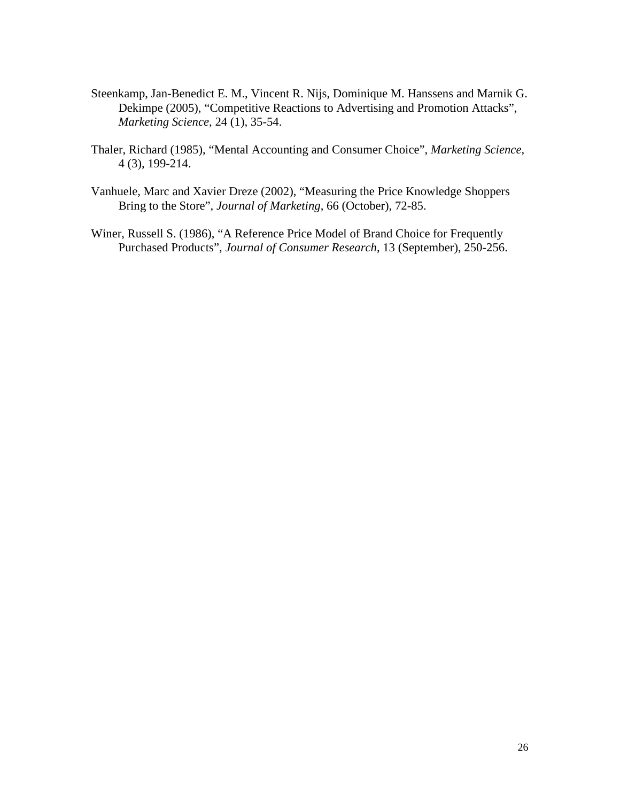- Steenkamp, Jan-Benedict E. M., Vincent R. Nijs, Dominique M. Hanssens and Marnik G. Dekimpe (2005), "Competitive Reactions to Advertising and Promotion Attacks", *Marketing Science*, 24 (1), 35-54.
- Thaler, Richard (1985), "Mental Accounting and Consumer Choice", *Marketing Science*, 4 (3), 199-214.
- Vanhuele, Marc and Xavier Dreze (2002), "Measuring the Price Knowledge Shoppers Bring to the Store", *Journal of Marketing*, 66 (October), 72-85.
- Winer, Russell S. (1986), "A Reference Price Model of Brand Choice for Frequently Purchased Products", *Journal of Consumer Research*, 13 (September), 250-256.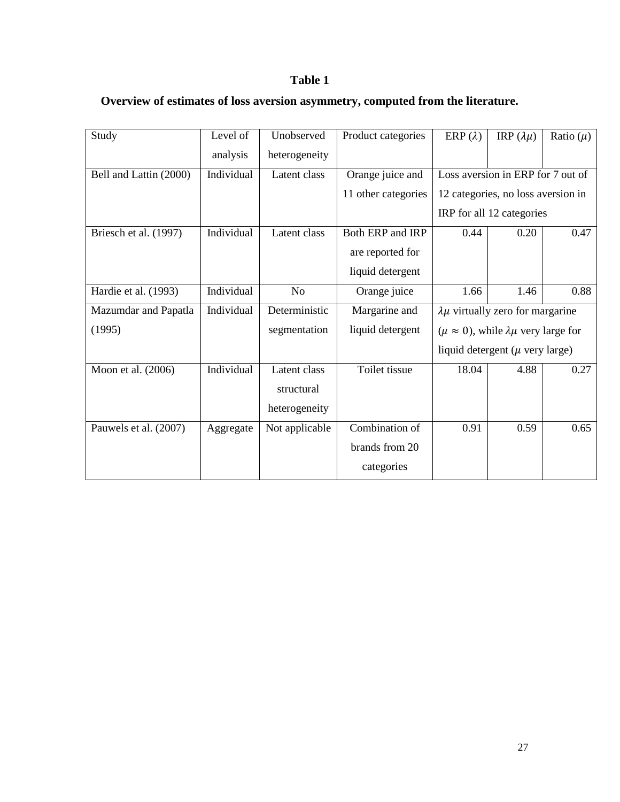### **Table 1**

## **Overview of estimates of loss aversion asymmetry, computed from the literature.**

| Study                  | Level of   | Unobserved     | Product categories  | ERP $(\lambda)$                                        | IRP $(\lambda \mu)$                | Ratio $(\mu)$ |  |
|------------------------|------------|----------------|---------------------|--------------------------------------------------------|------------------------------------|---------------|--|
|                        | analysis   | heterogeneity  |                     |                                                        |                                    |               |  |
| Bell and Lattin (2000) | Individual | Latent class   | Orange juice and    | Loss aversion in ERP for 7 out of                      |                                    |               |  |
|                        |            |                | 11 other categories |                                                        | 12 categories, no loss aversion in |               |  |
|                        |            |                |                     | IRP for all 12 categories                              |                                    |               |  |
| Briesch et al. (1997)  | Individual | Latent class   | Both ERP and IRP    | 0.20<br>0.44                                           |                                    | 0.47          |  |
|                        |            |                | are reported for    |                                                        |                                    |               |  |
|                        |            |                | liquid detergent    |                                                        |                                    |               |  |
| Hardie et al. (1993)   | Individual | N <sub>o</sub> | Orange juice        | 1.66                                                   | 1.46                               | 0.88          |  |
| Mazumdar and Papatla   | Individual | Deterministic  | Margarine and       | $\lambda \mu$ virtually zero for margarine             |                                    |               |  |
| (1995)                 |            | segmentation   | liquid detergent    | $(\mu \approx 0)$ , while $\lambda \mu$ very large for |                                    |               |  |
|                        |            |                |                     | liquid detergent ( $\mu$ very large)                   |                                    |               |  |
| Moon et al. (2006)     | Individual | Latent class   | Toilet tissue       | 18.04                                                  | 4.88                               | 0.27          |  |
|                        |            | structural     |                     |                                                        |                                    |               |  |
|                        |            | heterogeneity  |                     |                                                        |                                    |               |  |
| Pauwels et al. (2007)  | Aggregate  | Not applicable | Combination of      | 0.91                                                   | 0.59                               | 0.65          |  |
|                        |            |                | brands from 20      |                                                        |                                    |               |  |
|                        |            |                | categories          |                                                        |                                    |               |  |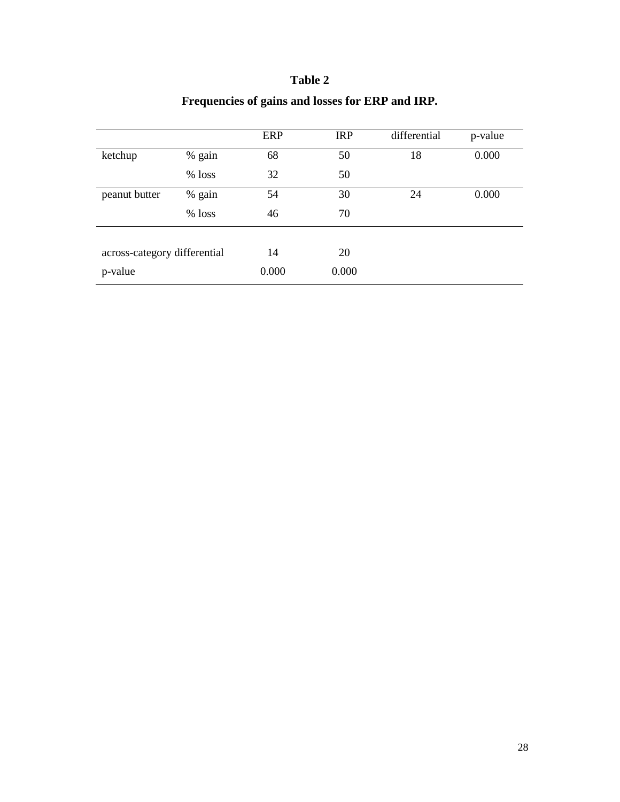### **Table 2**

|                              |          | <b>ERP</b> | <b>IRP</b> | differential | p-value |
|------------------------------|----------|------------|------------|--------------|---------|
| ketchup                      | % gain   | 68         | 50         | 18           | 0.000   |
|                              | $%$ loss | 32         | 50         |              |         |
| peanut butter                | % gain   | 54         | 30         | 24           | 0.000   |
|                              | $%$ loss | 46         | 70         |              |         |
|                              |          |            |            |              |         |
| across-category differential |          | 14         | 20         |              |         |
| p-value                      |          | 0.000      | 0.000      |              |         |

## **Frequencies of gains and losses for ERP and IRP.**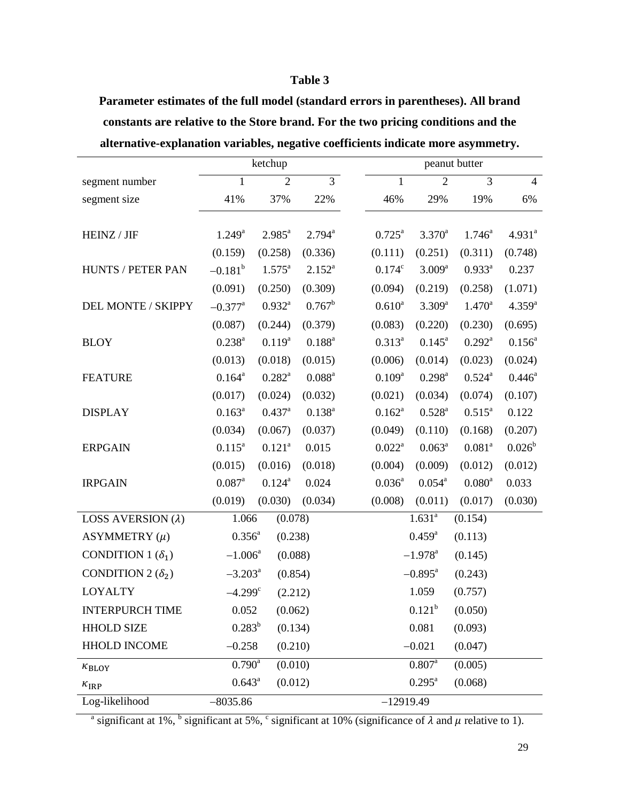#### **Table 3**

**Parameter estimates of the full model (standard errors in parentheses). All brand constants are relative to the Store brand. For the two pricing conditions and the alternative-explanation variables, negative coefficients indicate more asymmetry.**

|                           | ketchup               |                    |                 |  | peanut butter      |                       |                 |                |  |
|---------------------------|-----------------------|--------------------|-----------------|--|--------------------|-----------------------|-----------------|----------------|--|
| segment number            | $\mathbf{1}$          | $\overline{2}$     | $\overline{3}$  |  | $\mathbf{1}$       | $\overline{2}$        | $\overline{3}$  | $\overline{4}$ |  |
| segment size              | 41%                   | 37%                | 22%             |  | 46%                | 29%                   | 19%             | 6%             |  |
|                           |                       |                    |                 |  |                    |                       |                 |                |  |
| HEINZ / JIF               | $1.249^a$             | $2.985^{a}$        | $2.794^{a}$     |  | $0.725^{\text{a}}$ | $3.370^a$             | $1.746^a$       | $4.931^{a}$    |  |
|                           | (0.159)               | (0.258)            | (0.336)         |  | (0.111)            | (0.251)               | (0.311)         | (0.748)        |  |
| HUNTS / PETER PAN         | $-0.181^b$            | $1.575^{\circ}$    | $2.152^{a}$     |  | $0.174^c$          | $3.009^{\rm a}$       | $0.933^a$       | 0.237          |  |
|                           | (0.091)               | (0.250)            | (0.309)         |  | (0.094)            | (0.219)               | (0.258)         | (1.071)        |  |
| DEL MONTE / SKIPPY        | $-0.377$ <sup>a</sup> | $0.932^{a}$        | $0.767^b$       |  | $0.610^{a}$        | $3.309^{a}$           | $1.470^a$       | $4.359^{a}$    |  |
|                           | (0.087)               | (0.244)            | (0.379)         |  | (0.083)            | (0.220)               | (0.230)         | (0.695)        |  |
| <b>BLOY</b>               | $0.238^{a}$           | $0.119^{a}$        | $0.188^{a}$     |  | $0.313^{a}$        | $0.145^{\circ}$       | $0.292^a$       | $0.156^a$      |  |
|                           | (0.013)               | (0.018)            | (0.015)         |  | (0.006)            | (0.014)               | (0.023)         | (0.024)        |  |
| <b>FEATURE</b>            | $0.164^a$             | $0.282^{\text{a}}$ | $0.088^{\rm a}$ |  | $0.109^{a}$        | $0.298^{\text{a}}$    | $0.524^{\rm a}$ | $0.446^a$      |  |
|                           | (0.017)               | (0.024)            | (0.032)         |  | (0.021)            | (0.034)               | (0.074)         | (0.107)        |  |
| <b>DISPLAY</b>            | $0.163^a$             | $0.437^{\rm a}$    | $0.138^{a}$     |  | $0.162^a$          | $0.528^{\rm a}$       | $0.515^a$       | 0.122          |  |
|                           | (0.034)               | (0.067)            | (0.037)         |  | (0.049)            | (0.110)               | (0.168)         | (0.207)        |  |
| <b>ERPGAIN</b>            | $0.115^a$             | $0.121^{a}$        | 0.015           |  | $0.022^a$          | $0.063^a$             | $0.081^a$       | $0.026^b$      |  |
|                           | (0.015)               | (0.016)            | (0.018)         |  | (0.004)            | (0.009)               | (0.012)         | (0.012)        |  |
| <b>IRPGAIN</b>            | $0.087^{\text{a}}$    | $0.124^{a}$        | 0.024           |  | $0.036^{a}$        | $0.054^{\text{a}}$    | $0.080^a$       | 0.033          |  |
|                           | (0.019)               | (0.030)            | (0.034)         |  | (0.008)            | (0.011)               | (0.017)         | (0.030)        |  |
| LOSS AVERSION $(\lambda)$ | 1.066                 | (0.078)            |                 |  |                    | $1.631^{a}$           | (0.154)         |                |  |
| ASYMMETRY $(\mu)$         | $0.356^{a}$           | (0.238)            |                 |  |                    | $0.459^{\rm a}$       | (0.113)         |                |  |
| CONDITION 1 $(\delta_1)$  | $-1.006^a$            | (0.088)            |                 |  |                    | $-1.978$ <sup>a</sup> | (0.145)         |                |  |
| CONDITION 2 $(\delta_2)$  | $-3.203^a$            | (0.854)            |                 |  |                    | $-0.895^{\text{a}}$   | (0.243)         |                |  |
| <b>LOYALTY</b>            | $-4.299$ <sup>c</sup> | (2.212)            |                 |  |                    | 1.059                 | (0.757)         |                |  |
| <b>INTERPURCH TIME</b>    | 0.052                 | (0.062)            |                 |  |                    | $0.121^{b}$           | (0.050)         |                |  |
| <b>HHOLD SIZE</b>         | $0.283^{b}$           | (0.134)            |                 |  |                    | 0.081                 | (0.093)         |                |  |
| <b>HHOLD INCOME</b>       | $-0.258$              | (0.210)            |                 |  |                    | $-0.021$              | (0.047)         |                |  |
| $\kappa_{\rm BLOY}$       | $0.790^{\rm a}$       | (0.010)            |                 |  |                    | $0.807^{\rm a}$       | (0.005)         |                |  |
| $\kappa_{\rm IRP}$        | $0.643^{\circ}$       | (0.012)            |                 |  |                    | $0.295^{\text{a}}$    | (0.068)         |                |  |
| Log-likelihood            | $-8035.86$            |                    |                 |  | $-12919.49$        |                       |                 |                |  |

<sup>a</sup> significant at 1%, <sup>b</sup> significant at 5%, <sup>c</sup> significant at 10% (significance of  $\lambda$  and  $\mu$  relative to 1).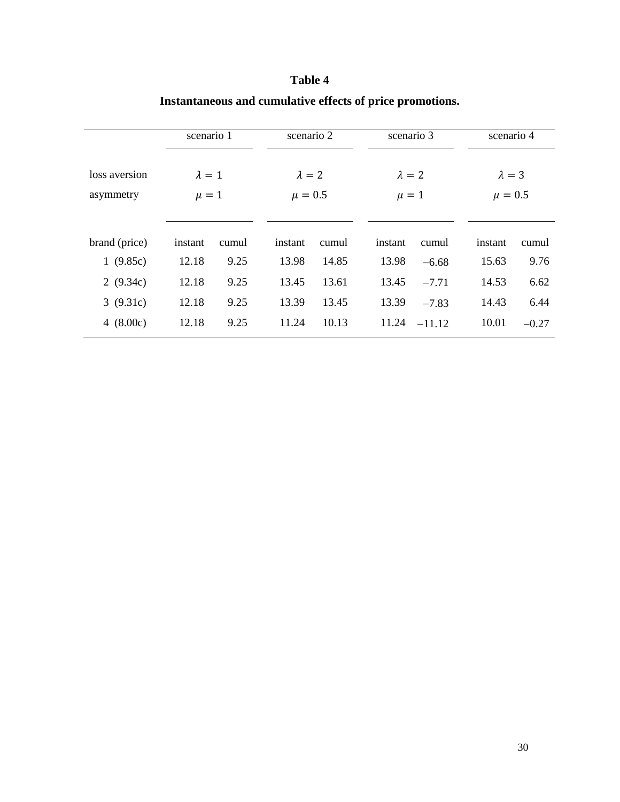|               | scenario 1    |       | scenario 2 |               |         | scenario 3    |         | scenario 4    |  |
|---------------|---------------|-------|------------|---------------|---------|---------------|---------|---------------|--|
| loss aversion | $\lambda = 1$ |       |            | $\lambda = 2$ |         | $\lambda = 2$ |         | $\lambda = 3$ |  |
| asymmetry     | $\mu = 1$     |       |            | $\mu = 0.5$   |         | $\mu = 1$     |         | $\mu = 0.5$   |  |
|               |               |       |            |               |         |               |         |               |  |
| brand (price) | instant       | cumul | instant    | cumul         | instant | cumul         | instant | cumul         |  |
| 1(9.85c)      | 12.18         | 9.25  | 13.98      | 14.85         | 13.98   | $-6.68$       | 15.63   | 9.76          |  |
| 2 $(9.34c)$   | 12.18         | 9.25  | 13.45      | 13.61         | 13.45   | $-7.71$       | 14.53   | 6.62          |  |
| 3(9.31c)      | 12.18         | 9.25  | 13.39      | 13.45         | 13.39   | $-7.83$       | 14.43   | 6.44          |  |
| 4 $(8.00c)$   | 12.18         | 9.25  | 11.24      | 10.13         | 11.24   | $-11.12$      | 10.01   | $-0.27$       |  |

# **Table 4 Instantaneous and cumulative effects of price promotions.**